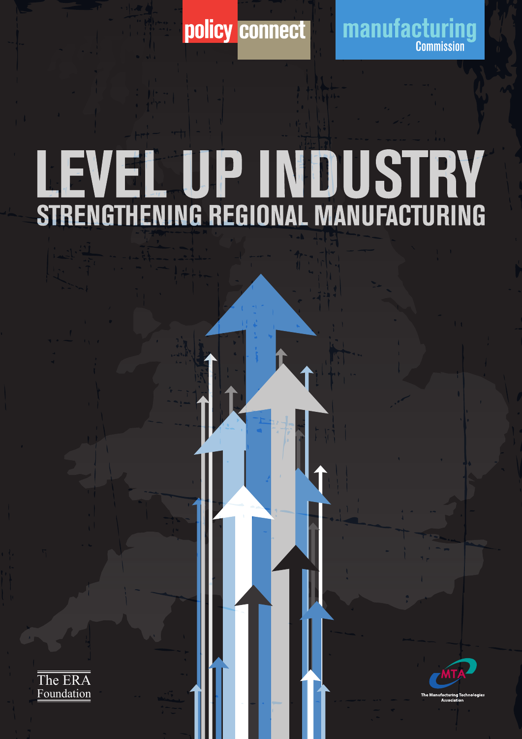

policy connect manufacturing

# LEVEL UP INDUSTRY<br>STRENGTHENING REGIONAL MANUFACTURING



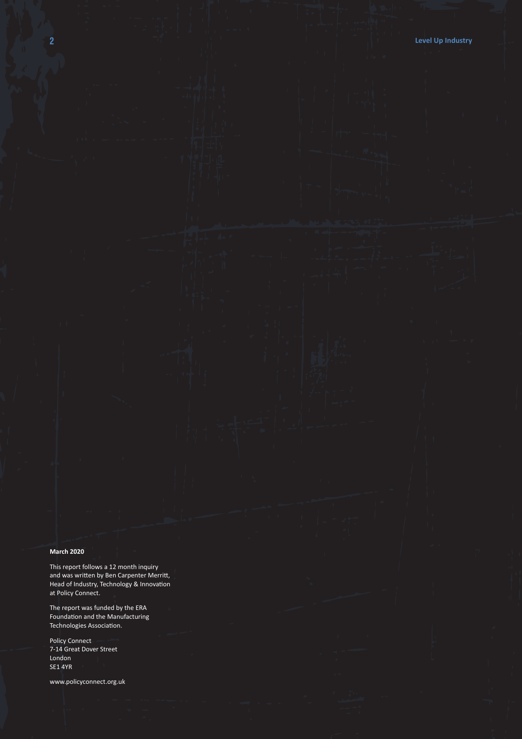#### **March 2020**

This report follows a 12 month inquiry and was written by Ben Carpenter Merritt, Head of Industry, Technology & Innovation at Policy Connect.

The report was funded by the ERA Foundation and the Manufacturing Technologies Association.

Policy Connect 7-14 Great Dover Street London SE1 4YR

www.policyconnect.org.uk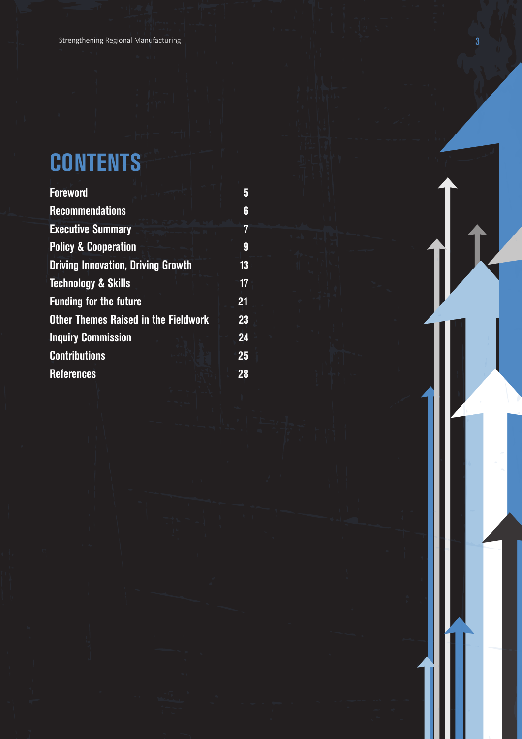### **CONTENTS**

| <b>Foreword</b>                             | 5  |
|---------------------------------------------|----|
| <b>Recommendations</b>                      | 6  |
| <b>Executive Summary</b>                    | 7  |
| <b>Policy &amp; Cooperation</b>             | 9  |
| <b>Driving Innovation, Driving Growth</b>   | 13 |
| <b>Technology &amp; Skills</b>              | 17 |
| <b>Funding for the future</b>               | 21 |
| <b>Other Themes Raised in the Fieldwork</b> | 23 |
| <b>Inquiry Commission</b>                   | 24 |
| <b>Contributions</b>                        | 25 |
| <b>References</b>                           | 28 |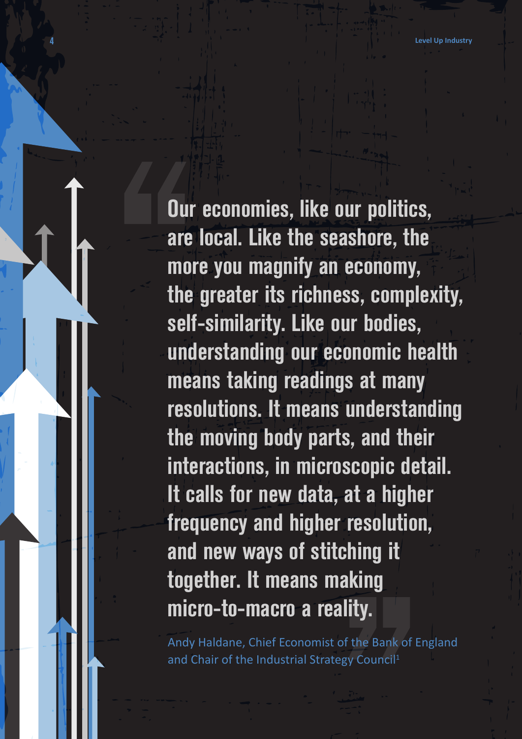**Our economies, like our politics, are local. Like the seashore, the more you magnify an economy, the greater its richness, complexity, self-similarity. Like our bodies, understanding our economic health means taking readings at many resolutions. It means understanding the moving body parts, and their interactions, in microscopic detail. It calls for new data, at a higher frequency and higher resolution, and new ways of stitching it together. It means making micro-to-macro a reality.**

Andy Haldane, Chief Economist of the Bank of England and Chair of the Industrial Strategy Council<sup>1</sup>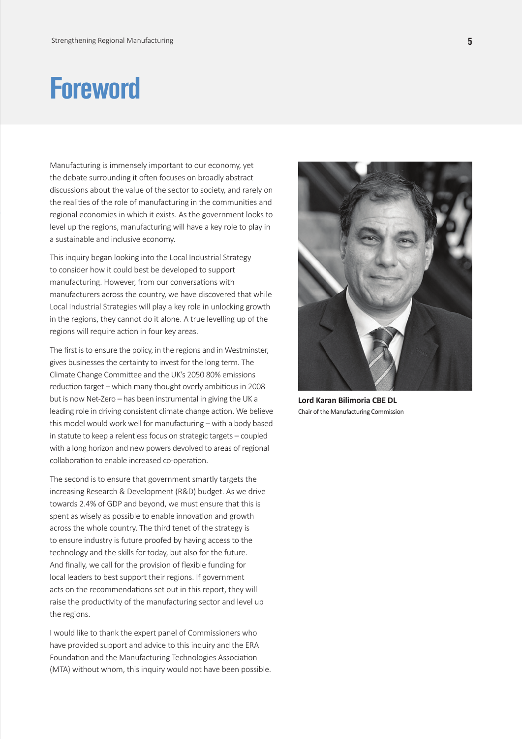### **Foreword**

Manufacturing is immensely important to our economy, yet the debate surrounding it often focuses on broadly abstract discussions about the value of the sector to society, and rarely on the realities of the role of manufacturing in the communities and regional economies in which it exists. As the government looks to level up the regions, manufacturing will have a key role to play in a sustainable and inclusive economy.

This inquiry began looking into the Local Industrial Strategy to consider how it could best be developed to support manufacturing. However, from our conversations with manufacturers across the country, we have discovered that while Local Industrial Strategies will play a key role in unlocking growth in the regions, they cannot do it alone. A true levelling up of the regions will require action in four key areas.

The first is to ensure the policy, in the regions and in Westminster, gives businesses the certainty to invest for the long term. The Climate Change Committee and the UK's 2050 80% emissions reduction target – which many thought overly ambitious in 2008 but is now Net-Zero – has been instrumental in giving the UK a leading role in driving consistent climate change action. We believe this model would work well for manufacturing – with a body based in statute to keep a relentless focus on strategic targets – coupled with a long horizon and new powers devolved to areas of regional collaboration to enable increased co-operation.

The second is to ensure that government smartly targets the increasing Research & Development (R&D) budget. As we drive towards 2.4% of GDP and beyond, we must ensure that this is spent as wisely as possible to enable innovation and growth across the whole country. The third tenet of the strategy is to ensure industry is future proofed by having access to the technology and the skills for today, but also for the future. And finally, we call for the provision of flexible funding for local leaders to best support their regions. If government acts on the recommendations set out in this report, they will raise the productivity of the manufacturing sector and level up the regions.

I would like to thank the expert panel of Commissioners who have provided support and advice to this inquiry and the ERA Foundation and the Manufacturing Technologies Association (MTA) without whom, this inquiry would not have been possible.



**Lord Karan Bilimoria CBE DL** Chair of the Manufacturing Commission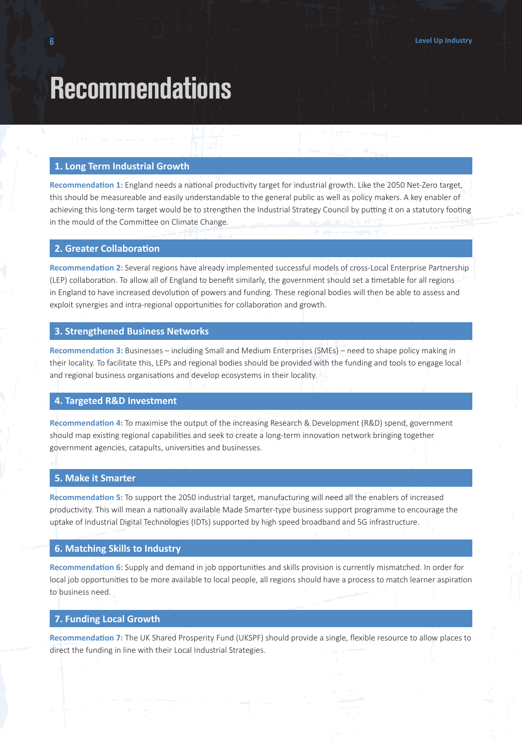### **Recommendations**

#### **1. Long Term Industrial Growth**

**Recommendation 1:** England needs a national productivity target for industrial growth. Like the 2050 Net-Zero target, this should be measureable and easily understandable to the general public as well as policy makers. A key enabler of achieving this long-term target would be to strengthen the Industrial Strategy Council by putting it on a statutory footing in the mould of the Committee on Climate Change.

#### **2. Greater Collaboration**

**Recommendation 2:** Several regions have already implemented successful models of cross-Local Enterprise Partnership (LEP) collaboration. To allow all of England to benefit similarly, the government should set a timetable for all regions in England to have increased devolution of powers and funding. These regional bodies will then be able to assess and exploit synergies and intra-regional opportunities for collaboration and growth.

#### **3. Strengthened Business Networks**

**Recommendation 3:** Businesses – including Small and Medium Enterprises (SMEs) – need to shape policy making in their locality. To facilitate this, LEPs and regional bodies should be provided with the funding and tools to engage local and regional business organisations and develop ecosystems in their locality.

#### **4. Targeted R&D Investment**

**Recommendation 4:** To maximise the output of the increasing Research & Development (R&D) spend, government should map existing regional capabilities and seek to create a long-term innovation network bringing together government agencies, catapults, universities and businesses.

#### **5. Make it Smarter**

**Recommendation 5:** To support the 2050 industrial target, manufacturing will need all the enablers of increased productivity. This will mean a nationally available Made Smarter-type business support programme to encourage the uptake of Industrial Digital Technologies (IDTs) supported by high speed broadband and 5G infrastructure.

#### **6. Matching Skills to Industry**

**Recommendation 6:** Supply and demand in job opportunities and skills provision is currently mismatched. In order for local job opportunities to be more available to local people, all regions should have a process to match learner aspiration to business need.

#### **7. Funding Local Growth**

**Recommendation 7:** The UK Shared Prosperity Fund (UKSPF) should provide a single, flexible resource to allow places to direct the funding in line with their Local Industrial Strategies.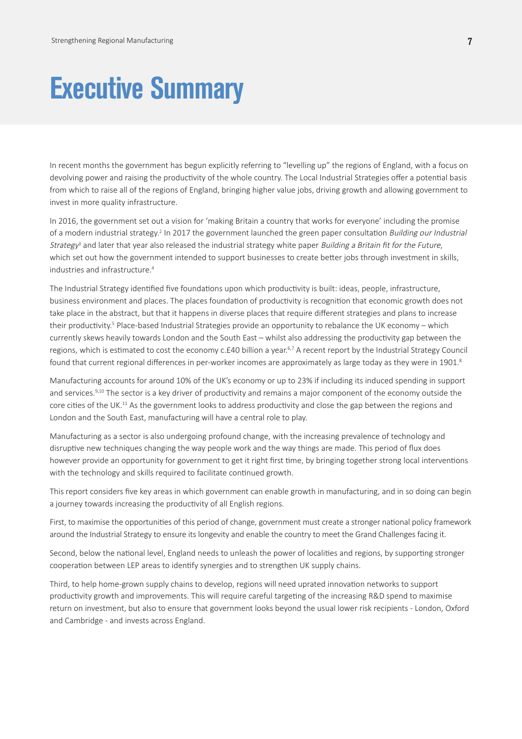### **Executive Summary**

In recent months the government has begun explicitly referring to "levelling up" the regions of England, with a focus on devolving power and raising the productivity of the whole country. The Local Industrial Strategies offer a potential basis from which to raise all of the regions of England, bringing higher value jobs, driving growth and allowing government to invest in more quality infrastructure.

In 2016, the government set out a vision for 'making Britain a country that works for everyone' including the promise of a modern industrial strategy.<sup>2</sup> In 2017 the government launched the green paper consultation Building our Industrial Strategy<sup>3</sup> and later that year also released the industrial strategy white paper Building a Britain fit for the Future, which set out how the government intended to support businesses to create better jobs through investment in skills, industries and infrastructure.<sup>4</sup>

The Industrial Strategy identified five foundations upon which productivity is built: ideas, people, infrastructure, business environment and places. The places foundation of productivity is recognition that economic growth does not take place in the abstract, but that it happens in diverse places that require different strategies and plans to increase their productivity.<sup>5</sup> Place-based Industrial Strategies provide an opportunity to rebalance the UK economy – which currently skews heavily towards London and the South East – whilst also addressing the productivity gap between the regions, which is estimated to cost the economy c.£40 billion a year.<sup>6,7</sup> A recent report by the Industrial Strategy Council found that current regional differences in per-worker incomes are approximately as large today as they were in 1901.<sup>8</sup>

Manufacturing accounts for around 10% of the UK's economy or up to 23% if including its induced spending in support and services.<sup>9,10</sup> The sector is a key driver of productivity and remains a major component of the economy outside the core cities of the UK.<sup>11</sup> As the government looks to address productivity and close the gap between the regions and London and the South East, manufacturing will have a central role to play.

Manufacturing as a sector is also undergoing profound change, with the increasing prevalence of technology and disruptive new techniques changing the way people work and the way things are made. This period of flux does however provide an opportunity for government to get it right first time, by bringing together strong local interventions with the technology and skills required to facilitate continued growth.

This report considers five key areas in which government can enable growth in manufacturing, and in so doing can begin a journey towards increasing the productivity of all English regions.

First, to maximise the opportunities of this period of change, government must create a stronger national policy framework around the Industrial Strategy to ensure its longevity and enable the country to meet the Grand Challenges facing it.

Second, below the national level, England needs to unleash the power of localities and regions, by supporting stronger cooperation between LEP areas to identify synergies and to strengthen UK supply chains.

Third, to help home-grown supply chains to develop, regions will need uprated innovation networks to support productivity growth and improvements. This will require careful targeting of the increasing R&D spend to maximise return on investment, but also to ensure that government looks beyond the usual lower risk recipients - London, Oxford and Cambridge - and invests across England.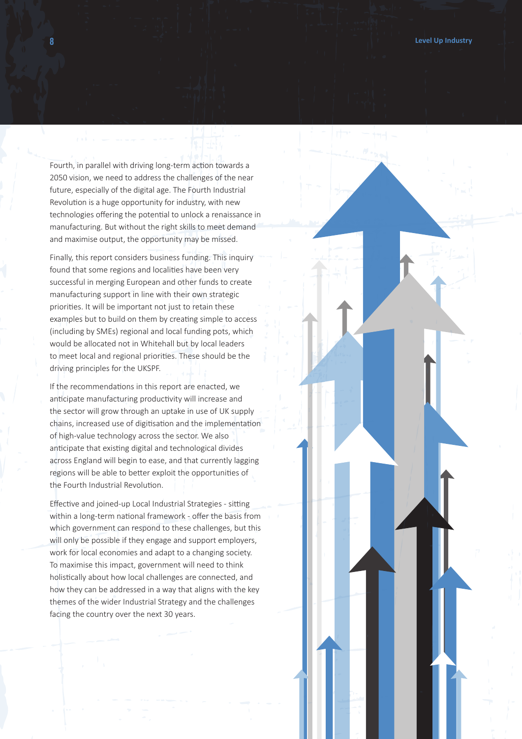Fourth, in parallel with driving long-term action towards a 2050 vision, we need to address the challenges of the near future, especially of the digital age. The Fourth Industrial Revolution is a huge opportunity for industry, with new technologies offering the potential to unlock a renaissance in manufacturing. But without the right skills to meet demand and maximise output, the opportunity may be missed.

Finally, this report considers business funding. This inquiry found that some regions and localities have been very successful in merging European and other funds to create manufacturing support in line with their own strategic priorities. It will be important not just to retain these examples but to build on them by creating simple to access (including by SMEs) regional and local funding pots, which would be allocated not in Whitehall but by local leaders to meet local and regional priorities. These should be the driving principles for the UKSPF.

If the recommendations in this report are enacted, we anticipate manufacturing productivity will increase and the sector will grow through an uptake in use of UK supply chains, increased use of digitisation and the implementation of high-value technology across the sector. We also anticipate that existing digital and technological divides across England will begin to ease, and that currently lagging regions will be able to better exploit the opportunities of the Fourth Industrial Revolution.

Effective and joined-up Local Industrial Strategies - sitting within a long-term national framework - offer the basis from which government can respond to these challenges, but this will only be possible if they engage and support employers, work for local economies and adapt to a changing society. To maximise this impact, government will need to think holistically about how local challenges are connected, and how they can be addressed in a way that aligns with the key themes of the wider Industrial Strategy and the challenges facing the country over the next 30 years.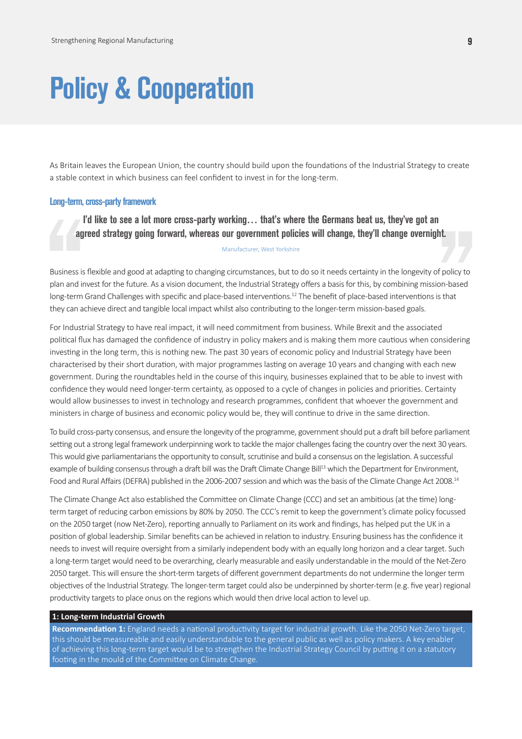# **Policy & Cooperation**

As Britain leaves the European Union, the country should build upon the foundations of the Industrial Strategy to create a stable context in which business can feel confident to invest in for the long-term.

#### **Long-term, cross-party framework**

**I'd like to see a lot more cross-party working… that's where the Germans beat us, they've got an agreed strategy going forward, whereas our government policies will change, they'll change overnight.** Manufacturer, West Yorkshire

Business is flexible and good at adapting to changing circumstances, but to do so it needs certainty in the longevity of policy to plan and invest for the future. As a vision document, the Industrial Strategy offers a basis for this, by combining mission-based long-term Grand Challenges with specific and place-based interventions.<sup>12</sup> The benefit of place-based interventions is that they can achieve direct and tangible local impact whilst also contributing to the longer-term mission-based goals.

For Industrial Strategy to have real impact, it will need commitment from business. While Brexit and the associated political flux has damaged the confidence of industry in policy makers and is making them more cautious when considering investing in the long term, this is nothing new. The past 30 years of economic policy and Industrial Strategy have been characterised by their short duration, with major programmes lasting on average 10 years and changing with each new government. During the roundtables held in the course of this inquiry, businesses explained that to be able to invest with confidence they would need longer-term certainty, as opposed to a cycle of changes in policies and priorities. Certainty would allow businesses to invest in technology and research programmes, confident that whoever the government and ministers in charge of business and economic policy would be, they will continue to drive in the same direction.

To build cross-party consensus, and ensure the longevity of the programme, government should put a draft bill before parliament setting out a strong legal framework underpinning work to tackle the major challenges facing the country over the next 30 years. This would give parliamentarians the opportunity to consult, scrutinise and build a consensus on the legislation. A successful example of building consensus through a draft bill was the Draft Climate Change Bill<sup>13</sup> which the Department for Environment, Food and Rural Affairs (DEFRA) published in the 2006-2007 session and which was the basis of the Climate Change Act 2008.14

The Climate Change Act also established the Committee on Climate Change (CCC) and set an ambitious (at the time) longterm target of reducing carbon emissions by 80% by 2050. The CCC's remit to keep the government's climate policy focussed on the 2050 target (now Net-Zero), reporting annually to Parliament on its work and findings, has helped put the UK in a position of global leadership. Similar benefits can be achieved in relation to industry. Ensuring business has the confidence it needs to invest will require oversight from a similarly independent body with an equally long horizon and a clear target. Such a long-term target would need to be overarching, clearly measurable and easily understandable in the mould of the Net-Zero 2050 target. This will ensure the short-term targets of different government departments do not undermine the longer term objectives of the Industrial Strategy. The longer-term target could also be underpinned by shorter-term (e.g. five year) regional productivity targets to place onus on the regions which would then drive local action to level up.

#### **1: Long-term Industrial Growth**

**Recommendation 1:** England needs a national productivity target for industrial growth. Like the 2050 Net-Zero target, this should be measureable and easily understandable to the general public as well as policy makers. A key enabler of achieving this long-term target would be to strengthen the Industrial Strategy Council by putting it on a statutory footing in the mould of the Committee on Climate Change.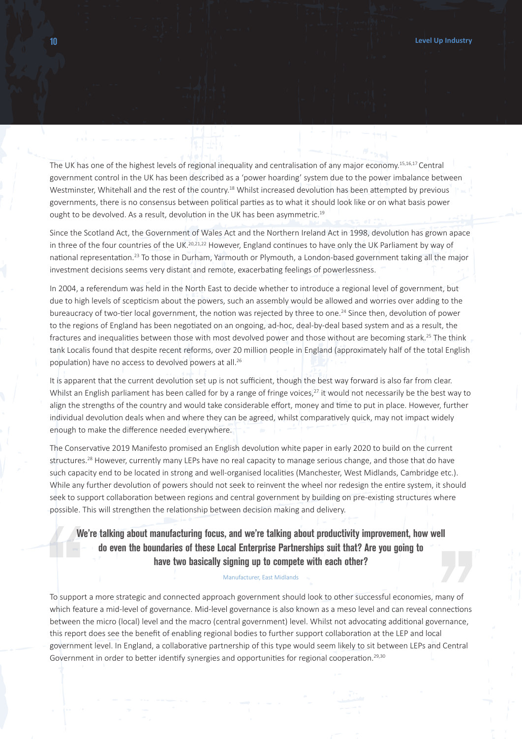The UK has one of the highest levels of regional inequality and centralisation of any major economy.15,16,17 Central government control in the UK has been described as a 'power hoarding' system due to the power imbalance between Westminster, Whitehall and the rest of the country.<sup>18</sup> Whilst increased devolution has been attempted by previous governments, there is no consensus between political parties as to what it should look like or on what basis power ought to be devolved. As a result, devolution in the UK has been asymmetric.<sup>19</sup>

Since the Scotland Act, the Government of Wales Act and the Northern Ireland Act in 1998, devolution has grown apace in three of the four countries of the UK.<sup>20,21,22</sup> However, England continues to have only the UK Parliament by way of national representation.23 To those in Durham, Yarmouth or Plymouth, a London-based government taking all the major investment decisions seems very distant and remote, exacerbating feelings of powerlessness.

In 2004, a referendum was held in the North East to decide whether to introduce a regional level of government, but due to high levels of scepticism about the powers, such an assembly would be allowed and worries over adding to the bureaucracy of two-tier local government, the notion was rejected by three to one.24 Since then, devolution of power to the regions of England has been negotiated on an ongoing, ad-hoc, deal-by-deal based system and as a result, the fractures and inequalities between those with most devolved power and those without are becoming stark.<sup>25</sup> The think tank Localis found that despite recent reforms, over 20 million people in England (approximately half of the total English population) have no access to devolved powers at all.26

It is apparent that the current devolution set up is not sufficient, though the best way forward is also far from clear. Whilst an English parliament has been called for by a range of fringe voices, $27$  it would not necessarily be the best way to align the strengths of the country and would take considerable effort, money and time to put in place. However, further individual devolution deals when and where they can be agreed, whilst comparatively quick, may not impact widely enough to make the difference needed everywhere.

The Conservative 2019 Manifesto promised an English devolution white paper in early 2020 to build on the current structures.<sup>28</sup> However, currently many LEPs have no real capacity to manage serious change, and those that do have such capacity end to be located in strong and well-organised localities (Manchester, West Midlands, Cambridge etc.). While any further devolution of powers should not seek to reinvent the wheel nor redesign the entire system, it should seek to support collaboration between regions and central government by building on pre-existing structures where possible. This will strengthen the relationship between decision making and delivery.

### **We're talking about manufacturing focus, and we're talking about productivity improvement, how well do even the boundaries of these Local Enterprise Partnerships suit that? Are you going to have two basically signing up to compete with each other?**

#### Manufacturer, East Midlands

To support a more strategic and connected approach government should look to other successful economies, many of which feature a mid-level of governance. Mid-level governance is also known as a meso level and can reveal connections between the micro (local) level and the macro (central government) level. Whilst not advocating additional governance, this report does see the benefit of enabling regional bodies to further support collaboration at the LEP and local government level. In England, a collaborative partnership of this type would seem likely to sit between LEPs and Central Government in order to better identify synergies and opportunities for regional cooperation.<sup>29,30</sup>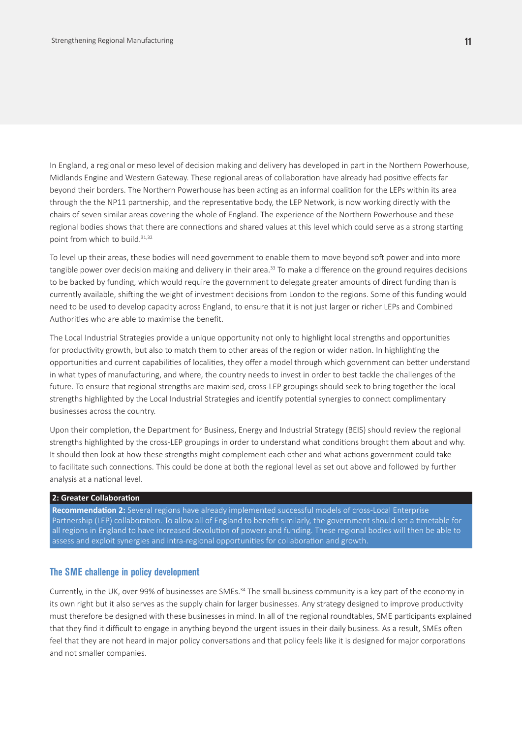In England, a regional or meso level of decision making and delivery has developed in part in the Northern Powerhouse, Midlands Engine and Western Gateway. These regional areas of collaboration have already had positive effects far beyond their borders. The Northern Powerhouse has been acting as an informal coalition for the LEPs within its area through the the NP11 partnership, and the representative body, the LEP Network, is now working directly with the chairs of seven similar areas covering the whole of England. The experience of the Northern Powerhouse and these regional bodies shows that there are connections and shared values at this level which could serve as a strong starting point from which to build.<sup>31,32</sup>

To level up their areas, these bodies will need government to enable them to move beyond soft power and into more tangible power over decision making and delivery in their area.<sup>33</sup> To make a difference on the ground requires decisions to be backed by funding, which would require the government to delegate greater amounts of direct funding than is currently available, shifting the weight of investment decisions from London to the regions. Some of this funding would need to be used to develop capacity across England, to ensure that it is not just larger or richer LEPs and Combined Authorities who are able to maximise the benefit.

The Local Industrial Strategies provide a unique opportunity not only to highlight local strengths and opportunities for productivity growth, but also to match them to other areas of the region or wider nation. In highlighting the opportunities and current capabilities of localities, they offer a model through which government can better understand in what types of manufacturing, and where, the country needs to invest in order to best tackle the challenges of the future. To ensure that regional strengths are maximised, cross-LEP groupings should seek to bring together the local strengths highlighted by the Local Industrial Strategies and identify potential synergies to connect complimentary businesses across the country.

Upon their completion, the Department for Business, Energy and Industrial Strategy (BEIS) should review the regional strengths highlighted by the cross-LEP groupings in order to understand what conditions brought them about and why. It should then look at how these strengths might complement each other and what actions government could take to facilitate such connections. This could be done at both the regional level as set out above and followed by further analysis at a national level.

#### **2: Greater Collaboration**

**Recommendation 2:** Several regions have already implemented successful models of cross-Local Enterprise Partnership (LEP) collaboration. To allow all of England to benefit similarly, the government should set a timetable for all regions in England to have increased devolution of powers and funding. These regional bodies will then be able to assess and exploit synergies and intra-regional opportunities for collaboration and growth.

#### **The SME challenge in policy development**

Currently, in the UK, over 99% of businesses are SMEs.34 The small business community is a key part of the economy in its own right but it also serves as the supply chain for larger businesses. Any strategy designed to improve productivity must therefore be designed with these businesses in mind. In all of the regional roundtables, SME participants explained that they find it difficult to engage in anything beyond the urgent issues in their daily business. As a result, SMEs often feel that they are not heard in major policy conversations and that policy feels like it is designed for major corporations and not smaller companies.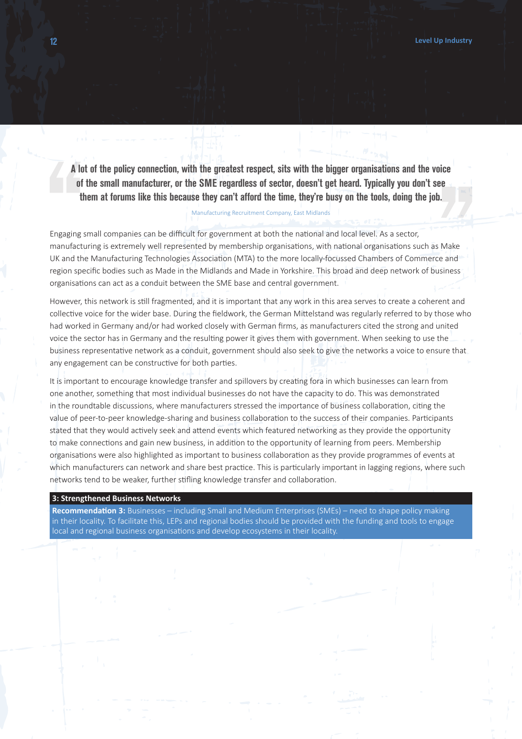**A lot of the policy connection, with the greatest respect, sits with the bigger organisations and the voice of the small manufacturer, or the SME regardless of sector, doesn't get heard. Typically you don't see them at forums like this because they can't afford the time, they're busy on the tools, doing the job.**

#### Manufacturing Recruitment Company, East Midlands

Engaging small companies can be difficult for government at both the national and local level. As a sector, manufacturing is extremely well represented by membership organisations, with national organisations such as Make UK and the Manufacturing Technologies Association (MTA) to the more locally-focussed Chambers of Commerce and region specific bodies such as Made in the Midlands and Made in Yorkshire. This broad and deep network of business organisations can act as a conduit between the SME base and central government.

However, this network is still fragmented, and it is important that any work in this area serves to create a coherent and collective voice for the wider base. During the fieldwork, the German Mittelstand was regularly referred to by those who had worked in Germany and/or had worked closely with German firms, as manufacturers cited the strong and united voice the sector has in Germany and the resulting power it gives them with government. When seeking to use the business representative network as a conduit, government should also seek to give the networks a voice to ensure that any engagement can be constructive for both parties.

It is important to encourage knowledge transfer and spillovers by creating fora in which businesses can learn from one another, something that most individual businesses do not have the capacity to do. This was demonstrated in the roundtable discussions, where manufacturers stressed the importance of business collaboration, citing the value of peer-to-peer knowledge-sharing and business collaboration to the success of their companies. Participants stated that they would actively seek and attend events which featured networking as they provide the opportunity to make connections and gain new business, in addition to the opportunity of learning from peers. Membership organisations were also highlighted as important to business collaboration as they provide programmes of events at which manufacturers can network and share best practice. This is particularly important in lagging regions, where such networks tend to be weaker, further stifling knowledge transfer and collaboration.

#### **3: Strengthened Business Networks**

**Recommendation 3:** Businesses – including Small and Medium Enterprises (SMEs) – need to shape policy making in their locality. To facilitate this, LEPs and regional bodies should be provided with the funding and tools to engage local and regional business organisations and develop ecosystems in their locality.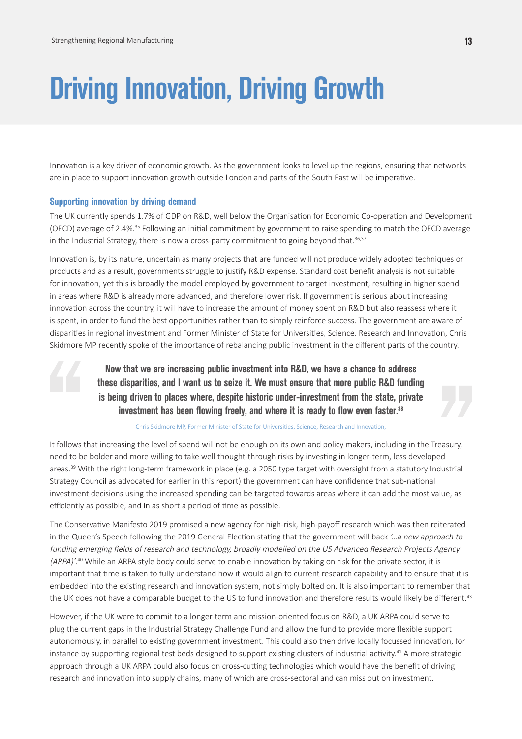# **Driving Innovation, Driving Growth**

Innovation is a key driver of economic growth. As the government looks to level up the regions, ensuring that networks are in place to support innovation growth outside London and parts of the South East will be imperative.

#### **Supporting innovation by driving demand**

The UK currently spends 1.7% of GDP on R&D, well below the Organisation for Economic Co-operation and Development (OECD) average of 2.4%.35 Following an initial commitment by government to raise spending to match the OECD average in the Industrial Strategy, there is now a cross-party commitment to going beyond that. $36,37$ 

Innovation is, by its nature, uncertain as many projects that are funded will not produce widely adopted techniques or products and as a result, governments struggle to justify R&D expense. Standard cost benefit analysis is not suitable for innovation, yet this is broadly the model employed by government to target investment, resulting in higher spend in areas where R&D is already more advanced, and therefore lower risk. If government is serious about increasing innovation across the country, it will have to increase the amount of money spent on R&D but also reassess where it is spent, in order to fund the best opportunities rather than to simply reinforce success. The government are aware of disparities in regional investment and Former Minister of State for Universities, Science, Research and Innovation, Chris Skidmore MP recently spoke of the importance of rebalancing public investment in the different parts of the country.

> **Now that we are increasing public investment into R&D, we have a chance to address these disparities, and I want us to seize it. We must ensure that more public R&D funding is being driven to places where, despite historic under-investment from the state, private investment has been flowing freely, and where it is ready to flow even faster.38**

> > Chris Skidmore MP, Former Minister of State for Universities, Science, Research and Innovation,

It follows that increasing the level of spend will not be enough on its own and policy makers, including in the Treasury, need to be bolder and more willing to take well thought-through risks by investing in longer-term, less developed areas.<sup>39</sup> With the right long-term framework in place (e.g. a 2050 type target with oversight from a statutory Industrial Strategy Council as advocated for earlier in this report) the government can have confidence that sub-national investment decisions using the increased spending can be targeted towards areas where it can add the most value, as efficiently as possible, and in as short a period of time as possible.

The Conservative Manifesto 2019 promised a new agency for high-risk, high-payoff research which was then reiterated in the Queen's Speech following the 2019 General Election stating that the government will back '…a new approach to funding emerging fields of research and technology, broadly modelled on the US Advanced Research Projects Agency (ARPA)'.<sup>40</sup> While an ARPA style body could serve to enable innovation by taking on risk for the private sector, it is important that time is taken to fully understand how it would align to current research capability and to ensure that it is embedded into the existing research and innovation system, not simply bolted on. It is also important to remember that the UK does not have a comparable budget to the US to fund innovation and therefore results would likely be different.<sup>43</sup>

However, if the UK were to commit to a longer-term and mission-oriented focus on R&D, a UK ARPA could serve to plug the current gaps in the Industrial Strategy Challenge Fund and allow the fund to provide more flexible support autonomously, in parallel to existing government investment. This could also then drive locally focussed innovation, for instance by supporting regional test beds designed to support existing clusters of industrial activity.41 A more strategic approach through a UK ARPA could also focus on cross-cutting technologies which would have the benefit of driving research and innovation into supply chains, many of which are cross-sectoral and can miss out on investment.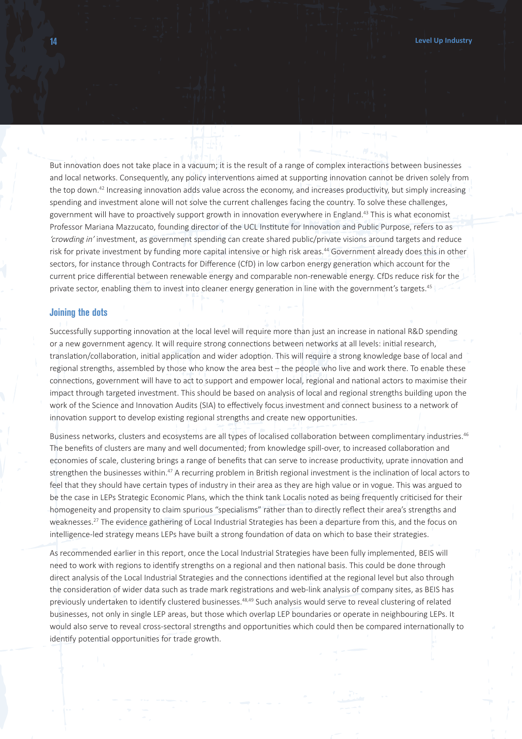But innovation does not take place in a vacuum; it is the result of a range of complex interactions between businesses and local networks. Consequently, any policy interventions aimed at supporting innovation cannot be driven solely from the top down.<sup>42</sup> Increasing innovation adds value across the economy, and increases productivity, but simply increasing spending and investment alone will not solve the current challenges facing the country. To solve these challenges, government will have to proactively support growth in innovation everywhere in England.<sup>43</sup> This is what economist Professor Mariana Mazzucato, founding director of the UCL Institute for Innovation and Public Purpose, refers to as 'crowding in' investment, as government spending can create shared public/private visions around targets and reduce risk for private investment by funding more capital intensive or high risk areas.<sup>44</sup> Government already does this in other sectors, for instance through Contracts for Difference (CfD) in low carbon energy generation which account for the current price differential between renewable energy and comparable non-renewable energy. CfDs reduce risk for the private sector, enabling them to invest into cleaner energy generation in line with the government's targets.<sup>45</sup>

#### **Joining the dots**

Successfully supporting innovation at the local level will require more than just an increase in national R&D spending or a new government agency. It will require strong connections between networks at all levels: initial research, translation/collaboration, initial application and wider adoption. This will require a strong knowledge base of local and regional strengths, assembled by those who know the area best – the people who live and work there. To enable these connections, government will have to act to support and empower local, regional and national actors to maximise their impact through targeted investment. This should be based on analysis of local and regional strengths building upon the work of the Science and Innovation Audits (SIA) to effectively focus investment and connect business to a network of innovation support to develop existing regional strengths and create new opportunities.

Business networks, clusters and ecosystems are all types of localised collaboration between complimentary industries.<sup>46</sup> The benefits of clusters are many and well documented; from knowledge spill-over, to increased collaboration and economies of scale, clustering brings a range of benefits that can serve to increase productivity, uprate innovation and strengthen the businesses within.<sup>47</sup> A recurring problem in British regional investment is the inclination of local actors to feel that they should have certain types of industry in their area as they are high value or in vogue. This was argued to be the case in LEPs Strategic Economic Plans, which the think tank Localis noted as being frequently criticised for their homogeneity and propensity to claim spurious "specialisms" rather than to directly reflect their area's strengths and weaknesses.27 The evidence gathering of Local Industrial Strategies has been a departure from this, and the focus on intelligence-led strategy means LEPs have built a strong foundation of data on which to base their strategies.

As recommended earlier in this report, once the Local Industrial Strategies have been fully implemented, BEIS will need to work with regions to identify strengths on a regional and then national basis. This could be done through direct analysis of the Local Industrial Strategies and the connections identified at the regional level but also through the consideration of wider data such as trade mark registrations and web-link analysis of company sites, as BEIS has previously undertaken to identify clustered businesses.<sup>48,49</sup> Such analysis would serve to reveal clustering of related businesses, not only in single LEP areas, but those which overlap LEP boundaries or operate in neighbouring LEPs. It would also serve to reveal cross-sectoral strengths and opportunities which could then be compared internationally to identify potential opportunities for trade growth.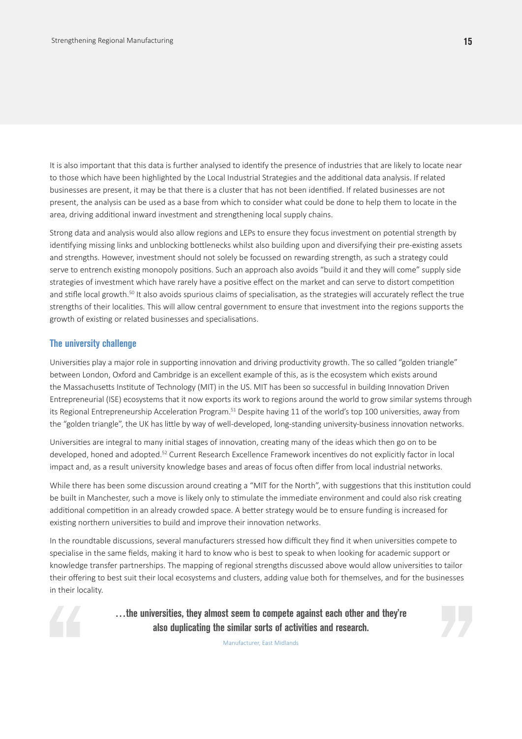It is also important that this data is further analysed to identify the presence of industries that are likely to locate near to those which have been highlighted by the Local Industrial Strategies and the additional data analysis. If related businesses are present, it may be that there is a cluster that has not been identified. If related businesses are not present, the analysis can be used as a base from which to consider what could be done to help them to locate in the area, driving additional inward investment and strengthening local supply chains.

Strong data and analysis would also allow regions and LEPs to ensure they focus investment on potential strength by identifying missing links and unblocking bottlenecks whilst also building upon and diversifying their pre-existing assets and strengths. However, investment should not solely be focussed on rewarding strength, as such a strategy could serve to entrench existing monopoly positions. Such an approach also avoids "build it and they will come" supply side strategies of investment which have rarely have a positive effect on the market and can serve to distort competition and stifle local growth.<sup>50</sup> It also avoids spurious claims of specialisation, as the strategies will accurately reflect the true strengths of their localities. This will allow central government to ensure that investment into the regions supports the growth of existing or related businesses and specialisations.

#### **The university challenge**

Universities play a major role in supporting innovation and driving productivity growth. The so called "golden triangle" between London, Oxford and Cambridge is an excellent example of this, as is the ecosystem which exists around the Massachusetts Institute of Technology (MIT) in the US. MIT has been so successful in building Innovation Driven Entrepreneurial (ISE) ecosystems that it now exports its work to regions around the world to grow similar systems through its Regional Entrepreneurship Acceleration Program.51 Despite having 11 of the world's top 100 universities, away from the "golden triangle", the UK has little by way of well-developed, long-standing university-business innovation networks.

Universities are integral to many initial stages of innovation, creating many of the ideas which then go on to be developed, honed and adopted.52 Current Research Excellence Framework incentives do not explicitly factor in local impact and, as a result university knowledge bases and areas of focus often differ from local industrial networks.

While there has been some discussion around creating a "MIT for the North", with suggestions that this institution could be built in Manchester, such a move is likely only to stimulate the immediate environment and could also risk creating additional competition in an already crowded space. A better strategy would be to ensure funding is increased for existing northern universities to build and improve their innovation networks.

In the roundtable discussions, several manufacturers stressed how difficult they find it when universities compete to specialise in the same fields, making it hard to know who is best to speak to when looking for academic support or knowledge transfer partnerships. The mapping of regional strengths discussed above would allow universities to tailor their offering to best suit their local ecosystems and clusters, adding value both for themselves, and for the businesses in their locality.



**…the universities, they almost seem to compete against each other and they're also duplicating the similar sorts of activities and research.**



Manufacturer, East Midlands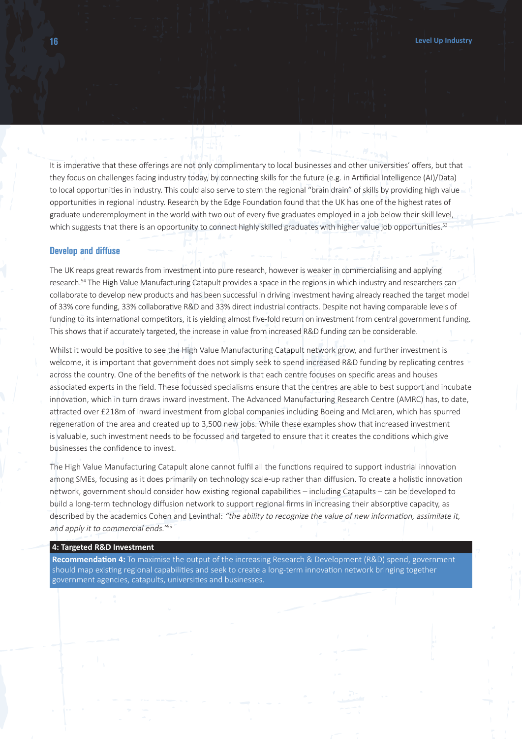It is imperative that these offerings are not only complimentary to local businesses and other universities' offers, but that they focus on challenges facing industry today, by connecting skills for the future (e.g. in Artificial Intelligence (AI)/Data) to local opportunities in industry. This could also serve to stem the regional "brain drain" of skills by providing high value opportunities in regional industry. Research by the Edge Foundation found that the UK has one of the highest rates of graduate underemployment in the world with two out of every five graduates employed in a job below their skill level, which suggests that there is an opportunity to connect highly skilled graduates with higher value job opportunities.<sup>53</sup>

#### **Develop and diffuse**

The UK reaps great rewards from investment into pure research, however is weaker in commercialising and applying research.54 The High Value Manufacturing Catapult provides a space in the regions in which industry and researchers can collaborate to develop new products and has been successful in driving investment having already reached the target model of 33% core funding, 33% collaborative R&D and 33% direct industrial contracts. Despite not having comparable levels of funding to its international competitors, it is yielding almost five-fold return on investment from central government funding. This shows that if accurately targeted, the increase in value from increased R&D funding can be considerable.

Whilst it would be positive to see the High Value Manufacturing Catapult network grow, and further investment is welcome, it is important that government does not simply seek to spend increased R&D funding by replicating centres across the country. One of the benefits of the network is that each centre focuses on specific areas and houses associated experts in the field. These focussed specialisms ensure that the centres are able to best support and incubate innovation, which in turn draws inward investment. The Advanced Manufacturing Research Centre (AMRC) has, to date, attracted over £218m of inward investment from global companies including Boeing and McLaren, which has spurred regeneration of the area and created up to 3,500 new jobs. While these examples show that increased investment is valuable, such investment needs to be focussed and targeted to ensure that it creates the conditions which give businesses the confidence to invest.

The High Value Manufacturing Catapult alone cannot fulfil all the functions required to support industrial innovation among SMEs, focusing as it does primarily on technology scale-up rather than diffusion. To create a holistic innovation network, government should consider how existing regional capabilities – including Catapults – can be developed to build a long-term technology diffusion network to support regional firms in increasing their absorptive capacity, as described by the academics Cohen and Levinthal: "the ability to recognize the value of new information, assimilate it, and apply it to commercial ends."<sup>55</sup>

#### **4: Targeted R&D Investment**

**Recommendation 4:** To maximise the output of the increasing Research & Development (R&D) spend, government should map existing regional capabilities and seek to create a long-term innovation network bringing together government agencies, catapults, universities and businesses.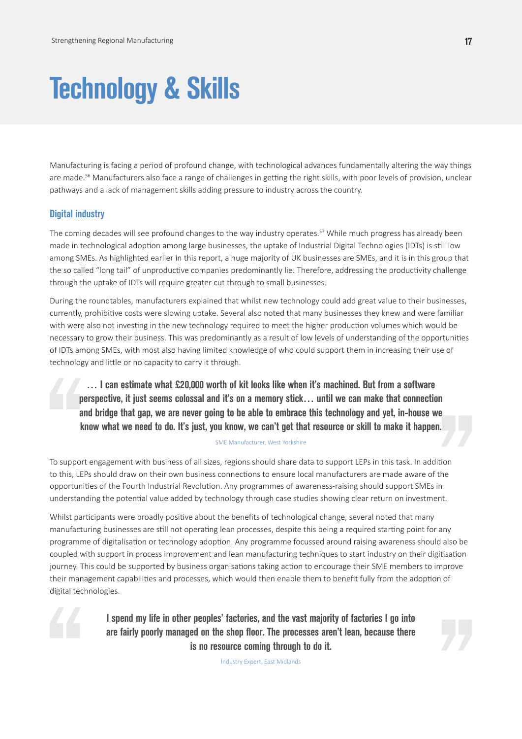# **Technology & Skills**

Manufacturing is facing a period of profound change, with technological advances fundamentally altering the way things are made.<sup>56</sup> Manufacturers also face a range of challenges in getting the right skills, with poor levels of provision, unclear pathways and a lack of management skills adding pressure to industry across the country.

#### **Digital industry**

The coming decades will see profound changes to the way industry operates.<sup>57</sup> While much progress has already been made in technological adoption among large businesses, the uptake of Industrial Digital Technologies (IDTs) is still low among SMEs. As highlighted earlier in this report, a huge majority of UK businesses are SMEs, and it is in this group that the so called "long tail" of unproductive companies predominantly lie. Therefore, addressing the productivity challenge through the uptake of IDTs will require greater cut through to small businesses.

During the roundtables, manufacturers explained that whilst new technology could add great value to their businesses, currently, prohibitive costs were slowing uptake. Several also noted that many businesses they knew and were familiar with were also not investing in the new technology required to meet the higher production volumes which would be necessary to grow their business. This was predominantly as a result of low levels of understanding of the opportunities of IDTs among SMEs, with most also having limited knowledge of who could support them in increasing their use of technology and little or no capacity to carry it through.

**… I can estimate what £20,000 worth of kit looks like when it's machined. But from a software perspective, it just seems colossal and it's on a memory stick… until we can make that connection and bridge that gap, we are never going to be able to embrace this technology and yet, in-house we know what we need to do. It's just, you know, we can't get that resource or skill to make it happen.**

#### SME Manufacturer, West Yorkshire

To support engagement with business of all sizes, regions should share data to support LEPs in this task. In addition to this, LEPs should draw on their own business connections to ensure local manufacturers are made aware of the opportunities of the Fourth Industrial Revolution. Any programmes of awareness-raising should support SMEs in understanding the potential value added by technology through case studies showing clear return on investment.

Whilst participants were broadly positive about the benefits of technological change, several noted that many manufacturing businesses are still not operating lean processes, despite this being a required starting point for any programme of digitalisation or technology adoption. Any programme focussed around raising awareness should also be coupled with support in process improvement and lean manufacturing techniques to start industry on their digitisation journey. This could be supported by business organisations taking action to encourage their SME members to improve their management capabilities and processes, which would then enable them to benefit fully from the adoption of digital technologies.



**I spend my life in other peoples' factories, and the vast majority of factories I go into are fairly poorly managed on the shop floor. The processes aren't lean, because there is no resource coming through to do it.**

Industry Expert, East Midlands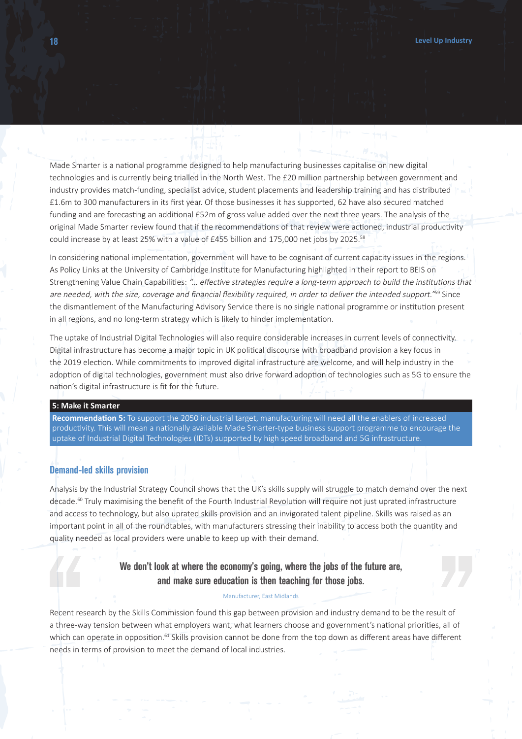Made Smarter is a national programme designed to help manufacturing businesses capitalise on new digital technologies and is currently being trialled in the North West. The £20 million partnership between government and industry provides match-funding, specialist advice, student placements and leadership training and has distributed £1.6m to 300 manufacturers in its first year. Of those businesses it has supported, 62 have also secured matched funding and are forecasting an additional £52m of gross value added over the next three years. The analysis of the original Made Smarter review found that if the recommendations of that review were actioned, industrial productivity could increase by at least 25% with a value of £455 billion and 175,000 net jobs by 2025.<sup>58</sup>

In considering national implementation, government will have to be cognisant of current capacity issues in the regions. As Policy Links at the University of Cambridge Institute for Manufacturing highlighted in their report to BEIS on Strengthening Value Chain Capabilities: "… effective strategies require a long-term approach to build the institutions that are needed, with the size, coverage and financial flexibility required, in order to deliver the intended support."<sup>59</sup> Since the dismantlement of the Manufacturing Advisory Service there is no single national programme or institution present in all regions, and no long-term strategy which is likely to hinder implementation.

The uptake of Industrial Digital Technologies will also require considerable increases in current levels of connectivity. Digital infrastructure has become a major topic in UK political discourse with broadband provision a key focus in the 2019 election. While commitments to improved digital infrastructure are welcome, and will help industry in the adoption of digital technologies, government must also drive forward adoption of technologies such as 5G to ensure the nation's digital infrastructure is fit for the future.

#### **5: Make it Smarter**

**Recommendation 5:** To support the 2050 industrial target, manufacturing will need all the enablers of increased productivity. This will mean a nationally available Made Smarter-type business support programme to encourage the uptake of Industrial Digital Technologies (IDTs) supported by high speed broadband and 5G infrastructure.

#### **Demand-led skills provision**

Analysis by the Industrial Strategy Council shows that the UK's skills supply will struggle to match demand over the next decade.<sup>60</sup> Truly maximising the benefit of the Fourth Industrial Revolution will require not just uprated infrastructure and access to technology, but also uprated skills provision and an invigorated talent pipeline. Skills was raised as an important point in all of the roundtables, with manufacturers stressing their inability to access both the quantity and quality needed as local providers were unable to keep up with their demand.

#### **We don't look at where the economy's going, where the jobs of the future are, and make sure education is then teaching for those jobs.**

#### Manufacturer, East Midlands

Recent research by the Skills Commission found this gap between provision and industry demand to be the result of a three-way tension between what employers want, what learners choose and government's national priorities, all of which can operate in opposition.<sup>61</sup> Skills provision cannot be done from the top down as different areas have different needs in terms of provision to meet the demand of local industries.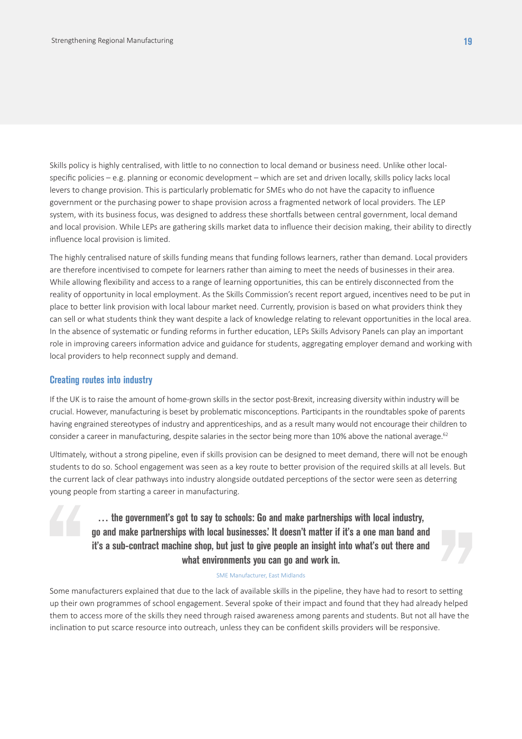Skills policy is highly centralised, with little to no connection to local demand or business need. Unlike other localspecific policies – e.g. planning or economic development – which are set and driven locally, skills policy lacks local levers to change provision. This is particularly problematic for SMEs who do not have the capacity to influence government or the purchasing power to shape provision across a fragmented network of local providers. The LEP system, with its business focus, was designed to address these shortfalls between central government, local demand and local provision. While LEPs are gathering skills market data to influence their decision making, their ability to directly influence local provision is limited.

The highly centralised nature of skills funding means that funding follows learners, rather than demand. Local providers are therefore incentivised to compete for learners rather than aiming to meet the needs of businesses in their area. While allowing flexibility and access to a range of learning opportunities, this can be entirely disconnected from the reality of opportunity in local employment. As the Skills Commission's recent report argued, incentives need to be put in place to better link provision with local labour market need. Currently, provision is based on what providers think they can sell or what students think they want despite a lack of knowledge relating to relevant opportunities in the local area. In the absence of systematic or funding reforms in further education, LEPs Skills Advisory Panels can play an important role in improving careers information advice and guidance for students, aggregating employer demand and working with local providers to help reconnect supply and demand.

#### **Creating routes into industry**

If the UK is to raise the amount of home-grown skills in the sector post-Brexit, increasing diversity within industry will be crucial. However, manufacturing is beset by problematic misconceptions. Participants in the roundtables spoke of parents having engrained stereotypes of industry and apprenticeships, and as a result many would not encourage their children to consider a career in manufacturing, despite salaries in the sector being more than 10% above the national average.<sup>62</sup>

Ultimately, without a strong pipeline, even if skills provision can be designed to meet demand, there will not be enough students to do so. School engagement was seen as a key route to better provision of the required skills at all levels. But the current lack of clear pathways into industry alongside outdated perceptions of the sector were seen as deterring young people from starting a career in manufacturing.

> **… the government's got to say to schools: Go and make partnerships with local industry, go and make partnerships with local businesses.' It doesn't matter if it's a one man band and it's a sub-contract machine shop, but just to give people an insight into what's out there and what environments you can go and work in.**

#### SME Manufacturer, East Midlands

Some manufacturers explained that due to the lack of available skills in the pipeline, they have had to resort to setting up their own programmes of school engagement. Several spoke of their impact and found that they had already helped them to access more of the skills they need through raised awareness among parents and students. But not all have the inclination to put scarce resource into outreach, unless they can be confident skills providers will be responsive.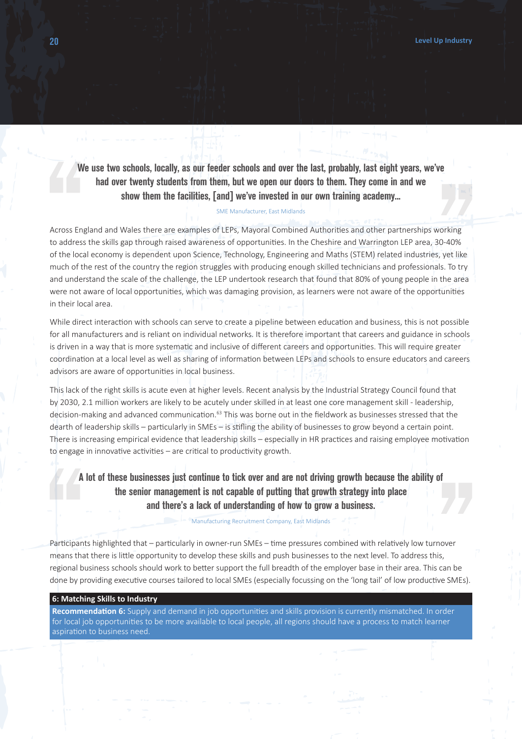**We use two schools, locally, as our feeder schools and over the last, probably, last eight years, we've had over twenty students from them, but we open our doors to them. They come in and we show them the facilities, [and] we've invested in our own training academy...**

#### SME Manufacturer, East Midlands

Across England and Wales there are examples of LEPs, Mayoral Combined Authorities and other partnerships working to address the skills gap through raised awareness of opportunities. In the Cheshire and Warrington LEP area, 30-40% of the local economy is dependent upon Science, Technology, Engineering and Maths (STEM) related industries, yet like much of the rest of the country the region struggles with producing enough skilled technicians and professionals. To try and understand the scale of the challenge, the LEP undertook research that found that 80% of young people in the area were not aware of local opportunities, which was damaging provision, as learners were not aware of the opportunities in their local area.

While direct interaction with schools can serve to create a pipeline between education and business, this is not possible for all manufacturers and is reliant on individual networks. It is therefore important that careers and guidance in schools is driven in a way that is more systematic and inclusive of different careers and opportunities. This will require greater coordination at a local level as well as sharing of information between LEPs and schools to ensure educators and careers advisors are aware of opportunities in local business.

This lack of the right skills is acute even at higher levels. Recent analysis by the Industrial Strategy Council found that by 2030, 2.1 million workers are likely to be acutely under skilled in at least one core management skill - leadership, decision-making and advanced communication.63 This was borne out in the fieldwork as businesses stressed that the dearth of leadership skills – particularly in SMEs – is stifling the ability of businesses to grow beyond a certain point. There is increasing empirical evidence that leadership skills – especially in HR practices and raising employee motivation to engage in innovative activities – are critical to productivity growth.

**A lot of these businesses just continue to tick over and are not driving growth because the ability of the senior management is not capable of putting that growth strategy into place and there's a lack of understanding of how to grow a business.**

Manufacturing Recruitment Company, East Midlands

Participants highlighted that – particularly in owner-run SMEs – time pressures combined with relatively low turnover means that there is little opportunity to develop these skills and push businesses to the next level. To address this, regional business schools should work to better support the full breadth of the employer base in their area. This can be done by providing executive courses tailored to local SMEs (especially focussing on the 'long tail' of low productive SMEs).

#### **6: Matching Skills to Industry**

**Recommendation 6:** Supply and demand in job opportunities and skills provision is currently mismatched. In order for local job opportunities to be more available to local people, all regions should have a process to match learner aspiration to business need.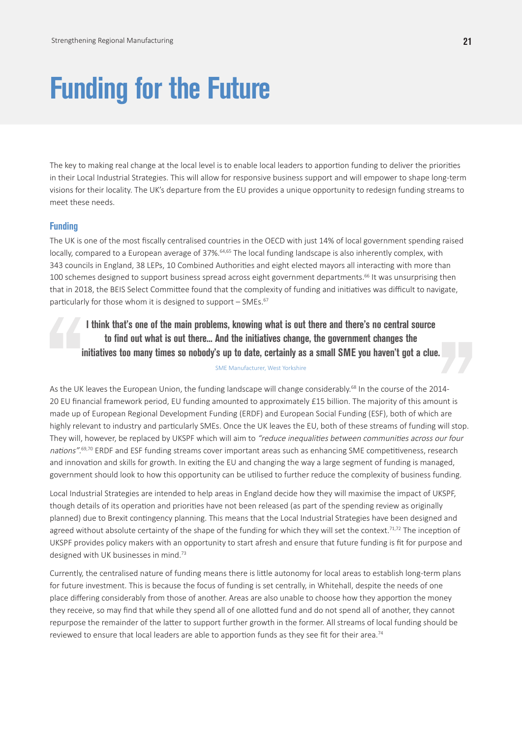# **Funding for the Future**

The key to making real change at the local level is to enable local leaders to apportion funding to deliver the priorities in their Local Industrial Strategies. This will allow for responsive business support and will empower to shape long-term visions for their locality. The UK's departure from the EU provides a unique opportunity to redesign funding streams to meet these needs.

#### **Funding**

The UK is one of the most fiscally centralised countries in the OECD with just 14% of local government spending raised locally, compared to a European average of 37%.<sup>64,65</sup> The local funding landscape is also inherently complex, with 343 councils in England, 38 LEPs, 10 Combined Authorities and eight elected mayors all interacting with more than 100 schemes designed to support business spread across eight government departments.<sup>66</sup> It was unsurprising then that in 2018, the BEIS Select Committee found that the complexity of funding and initiatives was difficult to navigate, particularly for those whom it is designed to support - SMEs.<sup>67</sup>

**I think that's one of the main problems, knowing what is out there and there's no central source to find out what is out there... And the initiatives change, the government changes the initiatives too many times so nobody's up to date, certainly as a small SME you haven't got a clue.**

SME Manufacturer, West Yorkshire

As the UK leaves the European Union, the funding landscape will change considerably.<sup>68</sup> In the course of the 2014-20 EU financial framework period, EU funding amounted to approximately £15 billion. The majority of this amount is made up of European Regional Development Funding (ERDF) and European Social Funding (ESF), both of which are highly relevant to industry and particularly SMEs. Once the UK leaves the EU, both of these streams of funding will stop. They will, however, be replaced by UKSPF which will aim to "reduce inequalities between communities across our four nations".<sup>69,70</sup> ERDF and ESF funding streams cover important areas such as enhancing SME competitiveness, research and innovation and skills for growth. In exiting the EU and changing the way a large segment of funding is managed, government should look to how this opportunity can be utilised to further reduce the complexity of business funding.

Local Industrial Strategies are intended to help areas in England decide how they will maximise the impact of UKSPF, though details of its operation and priorities have not been released (as part of the spending review as originally planned) due to Brexit contingency planning. This means that the Local Industrial Strategies have been designed and agreed without absolute certainty of the shape of the funding for which they will set the context.<sup>71,72</sup> The inception of UKSPF provides policy makers with an opportunity to start afresh and ensure that future funding is fit for purpose and designed with UK businesses in mind.<sup>73</sup>

Currently, the centralised nature of funding means there is little autonomy for local areas to establish long-term plans for future investment. This is because the focus of funding is set centrally, in Whitehall, despite the needs of one place differing considerably from those of another. Areas are also unable to choose how they apportion the money they receive, so may find that while they spend all of one allotted fund and do not spend all of another, they cannot repurpose the remainder of the latter to support further growth in the former. All streams of local funding should be reviewed to ensure that local leaders are able to apportion funds as they see fit for their area.<sup>74</sup>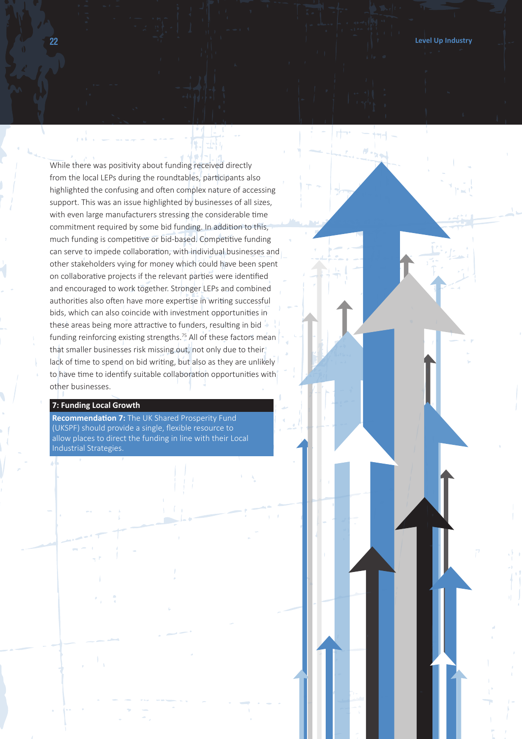While there was positivity about funding received directly from the local LEPs during the roundtables, participants also highlighted the confusing and often complex nature of accessing support. This was an issue highlighted by businesses of all sizes, with even large manufacturers stressing the considerable time commitment required by some bid funding. In addition to this, much funding is competitive or bid-based. Competitive funding can serve to impede collaboration, with individual businesses and other stakeholders vying for money which could have been spent on collaborative projects if the relevant parties were identified and encouraged to work together. Stronger LEPs and combined authorities also often have more expertise in writing successful bids, which can also coincide with investment opportunities in these areas being more attractive to funders, resulting in bid funding reinforcing existing strengths.<sup>75</sup> All of these factors mean that smaller businesses risk missing out, not only due to their lack of time to spend on bid writing, but also as they are unlikely to have time to identify suitable collaboration opportunities with other businesses.

#### **7: Funding Local Growth**

**Recommendation 7:** The UK Shared Prosperity Fund (UKSPF) should provide a single, flexible resource to allow places to direct the funding in line with their Local Industrial Strategies.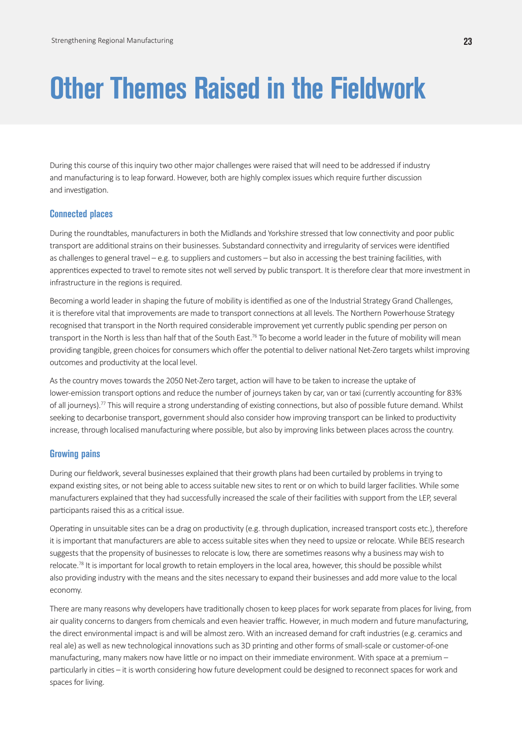### **Other Themes Raised in the Fieldwork**

During this course of this inquiry two other major challenges were raised that will need to be addressed if industry and manufacturing is to leap forward. However, both are highly complex issues which require further discussion and investigation.

#### **Connected places**

During the roundtables, manufacturers in both the Midlands and Yorkshire stressed that low connectivity and poor public transport are additional strains on their businesses. Substandard connectivity and irregularity of services were identified as challenges to general travel – e.g. to suppliers and customers – but also in accessing the best training facilities, with apprentices expected to travel to remote sites not well served by public transport. It is therefore clear that more investment in infrastructure in the regions is required.

Becoming a world leader in shaping the future of mobility is identified as one of the Industrial Strategy Grand Challenges, it is therefore vital that improvements are made to transport connections at all levels. The Northern Powerhouse Strategy recognised that transport in the North required considerable improvement yet currently public spending per person on transport in the North is less than half that of the South East.<sup>76</sup> To become a world leader in the future of mobility will mean providing tangible, green choices for consumers which offer the potential to deliver national Net-Zero targets whilst improving outcomes and productivity at the local level.

As the country moves towards the 2050 Net-Zero target, action will have to be taken to increase the uptake of lower-emission transport options and reduce the number of journeys taken by car, van or taxi (currently accounting for 83% of all journeys).<sup>77</sup> This will require a strong understanding of existing connections, but also of possible future demand. Whilst seeking to decarbonise transport, government should also consider how improving transport can be linked to productivity increase, through localised manufacturing where possible, but also by improving links between places across the country.

#### **Growing pains**

During our fieldwork, several businesses explained that their growth plans had been curtailed by problems in trying to expand existing sites, or not being able to access suitable new sites to rent or on which to build larger facilities. While some manufacturers explained that they had successfully increased the scale of their facilities with support from the LEP, several participants raised this as a critical issue.

Operating in unsuitable sites can be a drag on productivity (e.g. through duplication, increased transport costs etc.), therefore it is important that manufacturers are able to access suitable sites when they need to upsize or relocate. While BEIS research suggests that the propensity of businesses to relocate is low, there are sometimes reasons why a business may wish to relocate.<sup>78</sup> It is important for local growth to retain employers in the local area, however, this should be possible whilst also providing industry with the means and the sites necessary to expand their businesses and add more value to the local economy.

There are many reasons why developers have traditionally chosen to keep places for work separate from places for living, from air quality concerns to dangers from chemicals and even heavier traffic. However, in much modern and future manufacturing, the direct environmental impact is and will be almost zero. With an increased demand for craft industries (e.g. ceramics and real ale) as well as new technological innovations such as 3D printing and other forms of small-scale or customer-of-one manufacturing, many makers now have little or no impact on their immediate environment. With space at a premium – particularly in cities – it is worth considering how future development could be designed to reconnect spaces for work and spaces for living.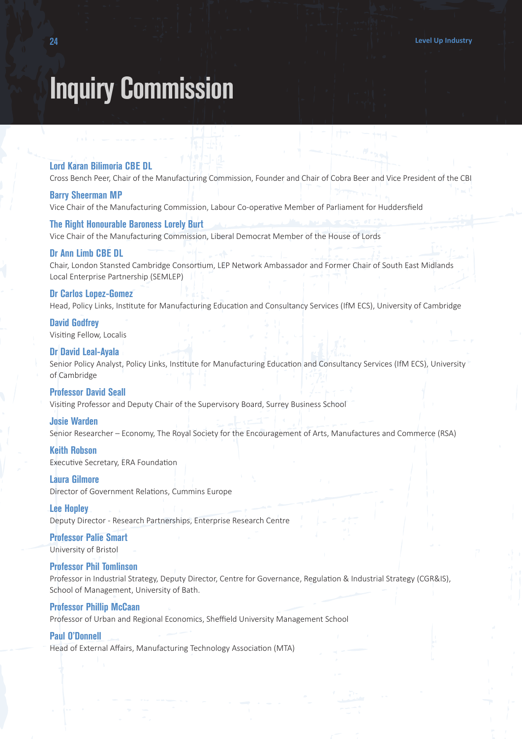### **Inquiry Commission**

#### **Lord Karan Bilimoria CBE DL**

Cross Bench Peer, Chair of the Manufacturing Commission, Founder and Chair of Cobra Beer and Vice President of the CBI

#### **Barry Sheerman MP**

Vice Chair of the Manufacturing Commission, Labour Co-operative Member of Parliament for Huddersfield

#### **The Right Honourable Baroness Lorely Burt**

Vice Chair of the Manufacturing Commission, Liberal Democrat Member of the House of Lords

#### **Dr Ann Limb CBE DL**

Chair, London Stansted Cambridge Consortium, LEP Network Ambassador and Former Chair of South East Midlands Local Enterprise Partnership (SEMLEP)

#### **Dr Carlos Lopez-Gomez**

Head, Policy Links, Institute for Manufacturing Education and Consultancy Services (IfM ECS), University of Cambridge

#### **David Godfrey**

Visiting Fellow, Localis

#### **Dr David Leal-Ayala**

Senior Policy Analyst, Policy Links, Institute for Manufacturing Education and Consultancy Services (IfM ECS), University of Cambridge

#### **Professor David Seall**

Visiting Professor and Deputy Chair of the Supervisory Board, Surrey Business School

#### **Josie Warden**

Senior Researcher – Economy, The Royal Society for the Encouragement of Arts, Manufactures and Commerce (RSA)

### **Keith Robson**

Executive Secretary, ERA Foundation

#### **Laura Gilmore**

Director of Government Relations, Cummins Europe

#### **Lee Hopley**

Deputy Director - Research Partnerships, Enterprise Research Centre

#### **Professor Palie Smart** University of Bristol

#### **Professor Phil Tomlinson**

Professor in Industrial Strategy, Deputy Director, Centre for Governance, Regulation & Industrial Strategy (CGR&IS), School of Management, University of Bath.

#### **Professor Phillip McCaan**

Professor of Urban and Regional Economics, Sheffield University Management School

#### **Paul O'Donnell**

Head of External Affairs, Manufacturing Technology Association (MTA)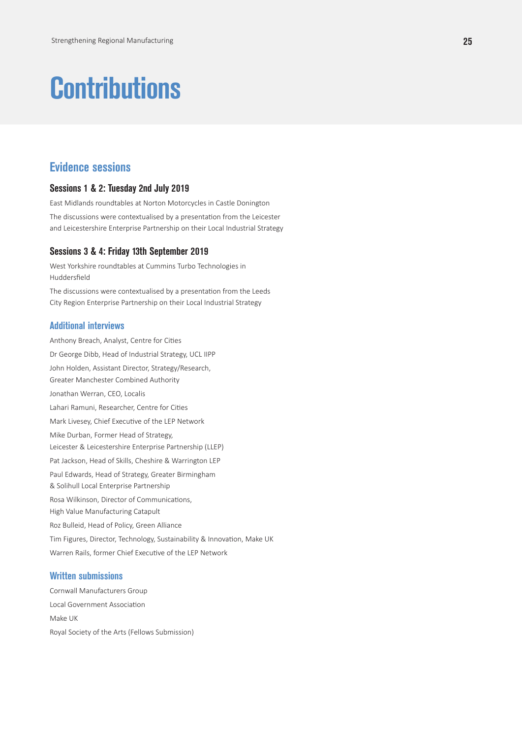# **Contributions**

### **Evidence sessions**

#### **Sessions 1 & 2: Tuesday 2nd July 2019**

East Midlands roundtables at Norton Motorcycles in Castle Donington

The discussions were contextualised by a presentation from the Leicester and Leicestershire Enterprise Partnership on their Local Industrial Strategy

#### **Sessions 3 & 4: Friday 13th September 2019**

West Yorkshire roundtables at Cummins Turbo Technologies in Huddersfield

The discussions were contextualised by a presentation from the Leeds City Region Enterprise Partnership on their Local Industrial Strategy

#### **Additional interviews**

Anthony Breach, Analyst, Centre for Cities Dr George Dibb, Head of Industrial Strategy, UCL IIPP John Holden, Assistant Director, Strategy/Research, Greater Manchester Combined Authority Jonathan Werran, CEO, Localis Lahari Ramuni, Researcher, Centre for Cities Mark Livesey, Chief Executive of the LEP Network Mike Durban, Former Head of Strategy, Leicester & Leicestershire Enterprise Partnership (LLEP) Pat Jackson, Head of Skills, Cheshire & Warrington LEP Paul Edwards, Head of Strategy, Greater Birmingham & Solihull Local Enterprise Partnership Rosa Wilkinson, Director of Communications, High Value Manufacturing Catapult Roz Bulleid, Head of Policy, Green Alliance Tim Figures, Director, Technology, Sustainability & Innovation, Make UK Warren Rails, former Chief Executive of the LEP Network

#### **Written submissions**

Cornwall Manufacturers Group Local Government Association Make UK Royal Society of the Arts (Fellows Submission)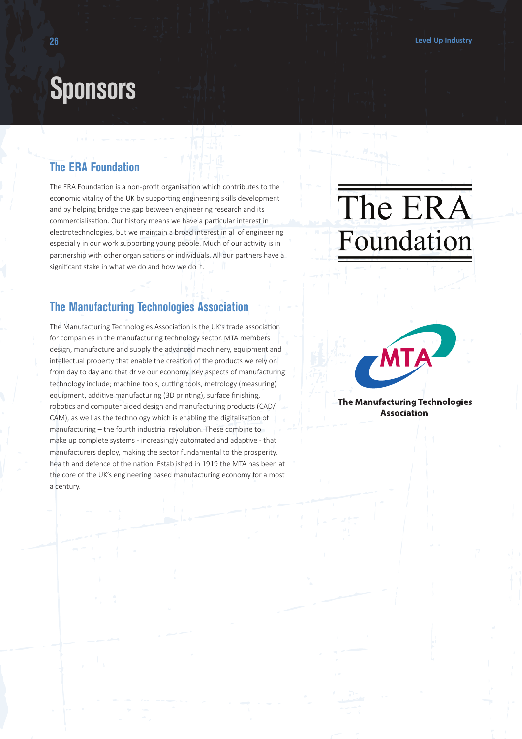### **Sponsors**

### **The ERA Foundation**

The ERA Foundation is a non-profit organisation which contributes to the economic vitality of the UK by supporting engineering skills development and by helping bridge the gap between engineering research and its commercialisation. Our history means we have a particular interest in electrotechnologies, but we maintain a broad interest in all of engineering especially in our work supporting young people. Much of our activity is in partnership with other organisations or individuals. All our partners have a significant stake in what we do and how we do it.

### **The Manufacturing Technologies Association**

The Manufacturing Technologies Association is the UK's trade association for companies in the manufacturing technology sector. MTA members design, manufacture and supply the advanced machinery, equipment and intellectual property that enable the creation of the products we rely on from day to day and that drive our economy. Key aspects of manufacturing technology include; machine tools, cutting tools, metrology (measuring) equipment, additive manufacturing (3D printing), surface finishing, robotics and computer aided design and manufacturing products (CAD/ CAM), as well as the technology which is enabling the digitalisation of manufacturing – the fourth industrial revolution. These combine to make up complete systems - increasingly automated and adaptive - that manufacturers deploy, making the sector fundamental to the prosperity, health and defence of the nation. Established in 1919 the MTA has been at the core of the UK's engineering based manufacturing economy for almost a century.

# The ERA Foundation



The Manufacturing Technologies **Association**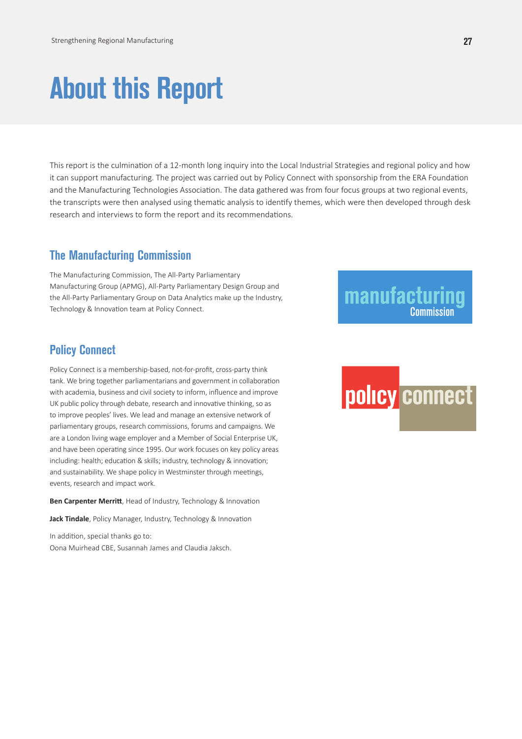# **About this Report**

This report is the culmination of a 12-month long inquiry into the Local Industrial Strategies and regional policy and how it can support manufacturing. The project was carried out by Policy Connect with sponsorship from the ERA Foundation and the Manufacturing Technologies Association. The data gathered was from four focus groups at two regional events, the transcripts were then analysed using thematic analysis to identify themes, which were then developed through desk research and interviews to form the report and its recommendations.

### **The Manufacturing Commission**

The Manufacturing Commission, The All-Party Parliamentary Manufacturing Group (APMG), All-Party Parliamentary Design Group and the All-Party Parliamentary Group on Data Analytics make up the Industry, Technology & Innovation team at Policy Connect.

### manufacturing **Commission**

### **Policy Connect**

Policy Connect is a membership-based, not-for-profit, cross-party think tank. We bring together parliamentarians and government in collaboration with academia, business and civil society to inform, influence and improve UK public policy through debate, research and innovative thinking, so as to improve peoples' lives. We lead and manage an extensive network of parliamentary groups, research commissions, forums and campaigns. We are a London living wage employer and a Member of Social Enterprise UK, and have been operating since 1995. Our work focuses on key policy areas including: health; education & skills; industry, technology & innovation; and sustainability. We shape policy in Westminster through meetings, events, research and impact work.

**Ben Carpenter Merritt**, Head of Industry, Technology & Innovation

**Jack Tindale**, Policy Manager, Industry, Technology & Innovation

In addition, special thanks go to: Oona Muirhead CBE, Susannah James and Claudia Jaksch.

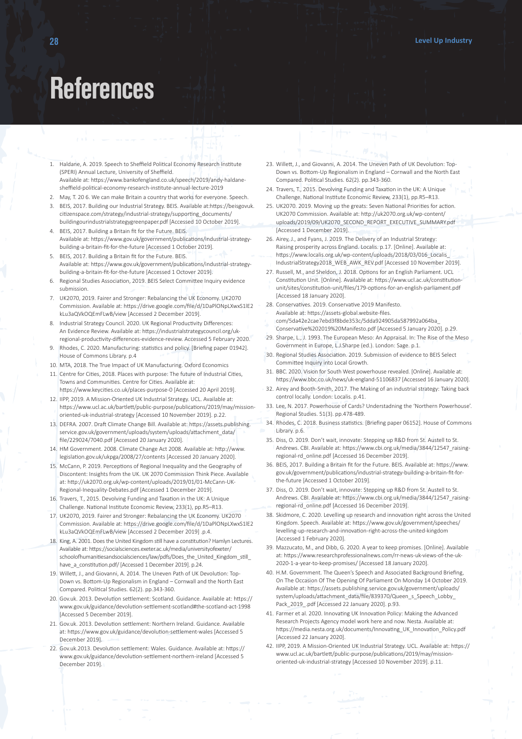### **References**

- 1. Haldane, A. 2019. Speech to Sheffield Political Economy Research Institute (SPERI) Annual Lecture, University of Sheffield. Available at: https://www.bankofengland.co.uk/speech/2019/andy-haldanesheffield-political-economy-research-institute-annual-lecture-2019
- 2. May, T. 20 6. We can make Britain a country that works for everyone. Speech.
- 3. BEIS, 2017. Building our Industrial Strategy. BEIS. Available at:https://beisgovuk. citizenspace.com/strategy/industrial-strategy/supporting\_documents/ buildingourindustrialstrategygreenpaper.pdf [Accessed 10 October 2019].
- 4. BEIS, 2017. Building a Britain fit for the Future. BEIS. Available at: https://www.gov.uk/government/publications/industrial-strategybuilding-a-britain-fit-for-the-future [Accessed 1 October 2019].
- 5. BEIS, 2017. Building a Britain fit for the Future. BEIS. Available at: https://www.gov.uk/government/publications/industrial-strategybuilding-a-britain-fit-for-the-future [Accessed 1 Octover 2019].
- 6. Regional Studies Association, 2019. BEIS Select Committee Inquiry evidence submission.
- 7. UK2070, 2019. Fairer and Stronger: Rebalancing the UK Economy. UK2070 Commission. Available at: https://drive.google.com/file/d/1DaPlONpLXwxS1lE2 kLu3aQVkOQEmFLwB/view [Accessed 2 December 2019].
- 8. Industrial Strategy Council. 2020. UK Regional Productivity Differences: An Evidence Review. Available at: https://industrialstrategycouncil.org/ukregional-productivity-differences-evidence-review. Accessed 5 February 2020.
- 9. Rhodes, C. 2020. Manufacturing: statistics and policy. [Briefing paper 01942]. House of Commons Library. p.4
- 10. MTA, 2018. The True Impact of UK Manufacturing. Oxford Economics
- 11. Centre for Cities, 2018. Places with purpose: The future of Industrial Cities, Towns and Communities. Centre for Cities. Available at: https://www.keycities.co.uk/places-purpose-0 [Accessed 20 April 2019].
- 12. IIPP, 2019. A Mission-Oriented UK Industrial Strategy. UCL. Available at: https://www.ucl.ac.uk/bartlett/public-purpose/publications/2019/may/missionoriented-uk-industrial-strategy [Accessed 10 November 2019]. p.22.
- 13. DEFRA. 2007. Draft Climate Change Bill. Available at: https://assets.publishing. service.gov.uk/government/uploads/system/uploads/attachment\_data/ file/229024/7040.pdf [Accessed 20 January 2020].
- 14. HM Government. 2008. Climate Change Act 2008. Available at: http://www. legislation.gov.uk/ukpga/2008/27/contents [Accessed 20 January 2020].
- 15. McCann, P. 2019. Perceptions of Regional Inequality and the Geography of Discontent: Insights from the UK. UK 2070 Commission Think Piece. Available at: http://uk2070.org.uk/wp-content/uploads/2019/01/01-McCann-UK-Regional-Inequality-Debates.pdf [Accessed 1 December 2019].
- 16. Travers, T., 2015. Devolving Funding and Taxation in the UK: A Unique Challenge. National Institute Economic Review, 233(1), pp.R5–R13.
- 17. UK2070, 2019. Fairer and Stronger: Rebalancing the UK Economy. UK2070 Commission. Available at: https://drive.google.com/file/d/1DaPlONpLXwxS1lE2 kLu3aQVkOQEmFLwB/view [Accessed 2 December 2019] .p.4.
- 18. King, A. 2001. Does the United Kingdom still have a constitution? Hamlyn Lectures. Available at: https://socialsciences.exeter.ac.uk/media/universityofexeter/ schoolofhumanitiesandsocialsciences/law/pdfs/Does\_the\_United\_Kingdom\_still\_ have\_a\_constitution.pdf/ [Accessed 1 December 2019]. p.24.
- 19. Willett, J., and Giovanni, A. 2014. The Uneven Path of UK Devolution: Top-Down vs. Bottom-Up Regionalism in England – Cornwall and the North East Compared. Political Studies. 62(2). pp.343-360.
- 20. Gov.uk. 2013. Devolution settlement: Scotland. Guidance. Available at: https:// www.gov.uk/guidance/devolution-settlement-scotland#the-scotland-act-1998 [Accessed 5 December 2019].
- 21. Gov.uk. 2013. Devolution settlement: Northern Ireland. Guidance. Available at: https://www.gov.uk/guidance/devolution-settlement-wales [Accessed 5 December 2019].
- 22. Gov.uk.2013. Devolution settlement: Wales. Guidance. Available at: https:// www.gov.uk/guidance/devolution-settlement-northern-ireland [Accessed 5 December 2019].
- 23. Willett, J., and Giovanni, A. 2014. The Uneven Path of UK Devolution: Top-Down vs. Bottom-Up Regionalism in England – Cornwall and the North East Compared. Political Studies. 62(2). pp.343-360.
- 24. Travers, T., 2015. Devolving Funding and Taxation in the UK: A Unique Challenge. National Institute Economic Review, 233(1), pp.R5–R13.
- 25. UK2070. 2019. Moving up the greats: Seven National Priorities for action. UK2070 Commission. Available at: http://uk2070.org.uk/wp-content/ uploads/2019/09/UK2070\_SECOND\_REPORT\_EXECUTIVE\_SUMMARY.pdf [Accessed 1 December 2019].
- 26. Airey, J., and Fyans, J. 2019. The Delivery of an Industrial Strategy: Raising prosperity across England. Localis. p.17. [Online]. Available at: https://www.localis.org.uk/wp-content/uploads/2018/03/016\_Localis\_ IndustrialStrategy2018\_WEB\_AWK\_REV.pdf [Accessed 10 November 2019].
- 27. Russell, M., and Sheldon, J. 2018. Options for an English Parliament. UCL Constitution Unit. [Online]. Available at: https://www.ucl.ac.uk/constitution-
- unit/sites/constitution-unit/files/179-options-for-an-english-parliament.pdf [Accessed 18 January 2020]. 28. Conservatives. 2019. Conservative 2019 Manifesto.
- Available at: https://assets-global.website-files. com/5da42e2cae7ebd3f8bde353c/5dda924905da587992a064ba\_
- Conservative%202019%20Manifesto.pdf [Accessed 5 January 2020]. p.29. 29. Sharpe, L., J. 1993. The European Meso: An Appraisal. In: The Rise of the Meso
- Government in Europe, L.J.Sharpe (ed.). London: Sage. p.1. 30. Regional Studies Association. 2019. Submission of evidence to BEIS Select
- Committee Inquiry into Local Growth.
- 31. BBC. 2020. Vision for South West powerhouse revealed. [Online]. Available at: https://www.bbc.co.uk/news/uk-england-51106837 [Accessed 16 January 2020].
- 32. Airey and Booth-Smith, 2017. The Making of an industrial strategy: Taking back control locally. London: Localis. p.41.
- 33. Lee, N. 2017. Powerhouse of Cards? Understadning the 'Northern Powerhouse'. Regional Studies. 51(3). pp.478-489.
- 34. Rhodes, C. 2018. Business statistics. [Briefing paper 06152]. House of Commons Library. p.6.
- 35. Diss, O. 2019. Don't wait, innovate: Stepping up R&D from St. Austell to St. Andrews. CBI. Available at: https://www.cbi.org.uk/media/3844/12547\_raisingregional-rd\_online.pdf [Accessed 16 December 2019].
- 36. BEIS, 2017. Building a Britain fit for the Future. BEIS. Available at: https://www. gov.uk/government/publications/industrial-strategy-building-a-britain-fit-forthe-future [Accessed 1 October 2019].
- 37. Diss, O. 2019. Don't wait, innovate: Stepping up R&D from St. Austell to St. Andrews. CBI. Available at: https://www.cbi.org.uk/media/3844/12547\_raisingregional-rd\_online.pdf [Accessed 16 December 2019].
- 38. Skidmore, C. 2020. Levelling up research and innovation right across the United Kingdom. Speech. Available at: https://www.gov.uk/government/speeches/ levelling-up-research-and-innovation-right-across-the-united-kingdom [Accessed 1 February 2020].
- 39. Mazzucato, M., and Dibb, G. 2020. A year to keep promises. [Online]. Available at: https://www.researchprofessionalnews.com/rr-news-uk-views-of-the-uk-2020-1-a-year-to-keep-promises/ [Accessed 18 January 2020].
- 40. H.M. Government. The Queen's Speech and Associated Background Briefing, On The Occasion Of The Opening Of Parliament On Monday 14 October 2019. Available at: https://assets.publishing.service.gov.uk/government/uploads/ system/uploads/attachment\_data/file/839370/Queen\_s\_Speech\_Lobby Pack\_2019\_\_pdf [Accessed 22 January 2020]. p.93.
- 41. Farmer et al. 2020. Innovating UK Innovation Policy: Making the Advanced Research Projects Agency model work here and now. Nesta. Available at: https://media.nesta.org.uk/documents/Innovating\_UK\_Innovation\_Policy.pdf [Accessed 22 January 2020].
- 42. IIPP, 2019. A Mission-Oriented UK Industrial Strategy. UCL. Available at: https:// www.ucl.ac.uk/bartlett/public-purpose/publications/2019/may/missionoriented-uk-industrial-strategy [Accessed 10 November 2019]. p.11.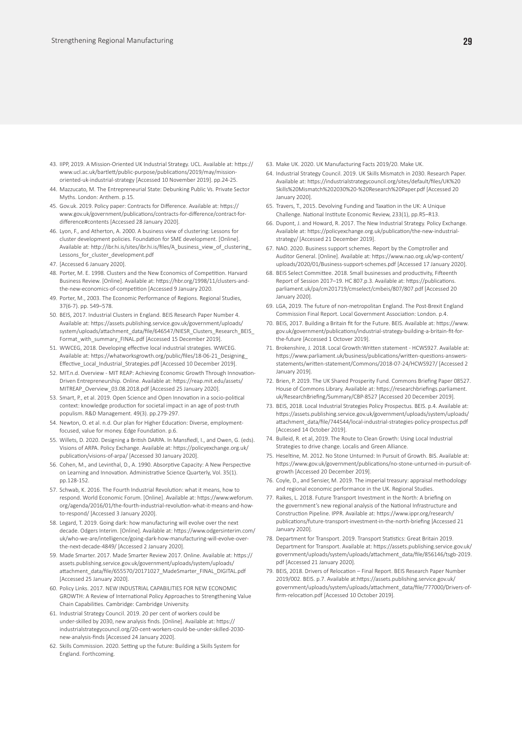- 43. IIPP, 2019. A Mission-Oriented UK Industrial Strategy. UCL. Available at: https:// www.ucl.ac.uk/bartlett/public-purpose/publications/2019/may/missionoriented-uk-industrial-strategy [Accessed 10 November 2019]. pp.24-25.
- 44. Mazzucato, M. The Entrepreneurial State: Debunking Public Vs. Private Sector Myths. London: Anthem. p.15.
- 45. Gov.uk. 2019. Policy paper: Contracts for Difference. Available at: https:// www.gov.uk/government/publications/contracts-for-difference/contract-fordifference#contents [Accessed 28 January 2020].
- 46. Lyon, F., and Atherton, A. 2000. A business view of clustering: Lessons for cluster development policies. Foundation for SME development. [Online]. Available at: http://ibr.hi.is/sites/ibr.hi.is/files/A\_business\_view\_of\_clustering Lessons\_for\_cluster\_development.pdf
- 47. [Accessed 6 January 2020].
- 48. Porter, M. E. 1998. Clusters and the New Economics of Competition. Harvard Business Review. [Online]. Available at: https://hbr.org/1998/11/clusters-andthe-new-economics-of-competition [Accessed 9 January 2020.
- 49. Porter, M., 2003. The Economic Performance of Regions. Regional Studies, 37(6-7). pp. 549–578.
- 50. BEIS, 2017. Industrial Clusters in England. BEIS Research Paper Number 4. Available at: https://assets.publishing.service.gov.uk/government/uploads/ system/uploads/attachment\_data/file/646547/NIESR\_Clusters\_Research\_BEIS Format\_with\_summary\_FINAL.pdf [Accessed 15 December 2019].
- 51. WWCEG, 2018. Developing effective local industrial strategies. WWCEG. Available at: https://whatworksgrowth.org/public/files/18-06-21\_Designing\_ Effective\_Local\_Industrial\_Strategies.pdf [Accessed 10 December 2019].
- 52. MIT.n.d. Overview MIT REAP: Achieving Economic Growth Through Innovation-Driven Entrepreneurship. Online. Available at: https://reap.mit.edu/assets/ MITREAP\_Overview\_03.08.2018.pdf [Accessed 25 January 2020].
- 53. Smart, P., et al. 2019. Open Science and Open Innovation in a socio‐political context: knowledge production for societal impact in an age of post‐truth populism. R&D Management. 49(3). pp.279-297.
- 54. Newton, O. et al. n.d. Our plan for Higher Education: Diverse, employmentfocused, value for money. Edge Foundation. p.6.
- 55. Willets, D. 2020. Designing a British DARPA. In Mansfiedl, I., and Owen, G. (eds). Visions of ARPA. Policy Exchange. Available at: https://policyexchange.org.uk/ publication/visions-of-arpa/ [Accessed 30 January 2020].
- 56. Cohen, M., and Levinthal, D., A. 1990. Absorptive Capacity: A New Perspective on Learning and Innovation. Administrative Science Quarterly, Vol. 35(1). pp.128-152.
- 57. Schwab, K. 2016. The Fourth Industrial Revolution: what it means, how to respond. World Economic Forum. [Online]. Available at: https://www.weforum. org/agenda/2016/01/the-fourth-industrial-revolution-what-it-means-and-howto-respond/ [Accessed 3 January 2020].
- 58. Legard, T. 2019. Going dark: how manufacturing will evolve over the next decade. Odgers Interim. [Online]. Available at: https://www.odgersinterim.com/ uk/who-we-are/intelligence/going-dark-how-manufacturing-will-evolve-overthe-next-decade-4849/ [Accessed 2 January 2020].
- 59. Made Smarter. 2017. Made Smarter Review 2017. Online. Available at: https:// assets.publishing.service.gov.uk/government/uploads/system/uploads/ attachment\_data/file/655570/20171027\_MadeSmarter\_FINAL\_DIGITAL.pdf [Accessed 25 January 2020].
- 60. Policy Links. 2017. NEW INDUSTRIAL CAPABILITIES FOR NEW ECONOMIC GROWTH: A Review of International Policy Approaches to Strengthening Value Chain Capabilities. Cambridge: Cambridge University.
- 61. Industrial Strategy Council. 2019. 20 per cent of workers could be under-skilled by 2030, new analysis finds. [Online]. Available at: https:// industrialstrategycouncil.org/20-cent-workers-could-be-under-skilled-2030 new-analysis-finds [Accessed 24 January 2020].
- 62. Skills Commission. 2020. Setting up the future: Building a Skills System for England. Forthcoming.
- 63. Make UK. 2020. UK Manufacturing Facts 2019/20. Make UK.
- 64. Industrial Strategy Council. 2019. UK Skills Mismatch in 2030. Research Paper. Available at: https://industrialstrategycouncil.org/sites/default/files/UK%20 Skills%20Mismatch%202030%20-%20Research%20Paper.pdf [Accessed 20 January 2020].
- 65. Travers, T., 2015. Devolving Funding and Taxation in the UK: A Unique Challenge. National Institute Economic Review, 233(1), pp.R5–R13.
- 66. Dupont, J. and Howard, R. 2017. The New Industrial Strategy. Policy Exchange. Available at: https://policyexchange.org.uk/publication/the-new-industrialstrategy/ [Accessed 21 December 2019].
- 67. NAO. 2020. Business support schemes. Report by the Comptroller and Auditor General. [Online]. Available at: https://www.nao.org.uk/wp-content/ uploads/2020/01/Business-support-schemes.pdf [Accessed 17 January 2020].
- 68. BEIS Select Committee. 2018. Small businesses and productivity, Fifteenth Report of Session 2017–19. HC 807.p.3. Available at: https://publications. parliament.uk/pa/cm201719/cmselect/cmbeis/807/807.pdf [Accessed 20 January 2020].
- 69. LGA, 2019. The future of non-metropolitan England. The Post-Brexit England Commission Final Report. Local Government Association: London. p.4.
- 70. BEIS, 2017. Building a Britain fit for the Future. BEIS. Available at: https://www. gov.uk/government/publications/industrial-strategy-building-a-britain-fit-forthe-future [Accessed 1 Octover 2019].
- 71. Brokenshire, J. 2018. Local Growth:Written statement HCWS927. Available at: https://www.parliament.uk/business/publications/written-questions-answersstatements/written-statement/Commons/2018-07-24/HCWS927/ [Accessed 2 January 2019].
- 72. Brien, P. 2019. The UK Shared Prosperity Fund. Commons Briefing Paper 08527. House of Commons Library. Available at: https://researchbriefings.parliament. uk/ResearchBriefing/Summary/CBP-8527 [Accessed 20 December 2019].
- 73. BEIS, 2018. Local Industrial Strategies Policy Prospectus. BEIS. p.4. Available at: https://assets.publishing.service.gov.uk/government/uploads/system/uploads/ attachment\_data/file/744544/local-industrial-strategies-policy-prospectus.pdf [Accessed 14 October 2019].
- 74. Bulleid, R. et al, 2019. The Route to Clean Growth: Using Local Industrial Strategies to drive change. Localis and Green Alliance.
- 75. Heseltine, M. 2012. No Stone Unturned: In Pursuit of Growth. BIS. Available at: https://www.gov.uk/government/publications/no-stone-unturned-in-pursuit-ofgrowth [Accessed 20 December 2019].
- 76. Coyle, D., and Sensier, M. 2019. The imperial treasury: appraisal methodology and regional economic performance in the UK. Regional Studies.
- 77. Raikes, L. 2018. Future Transport Investment in the North: A briefing on the government's new regional analysis of the National Infrastructure and Construction Pipeline. IPPR. Available at: https://www.ippr.org/research/ publications/future-transport-investment-in-the-north-briefing [Accessed 21 January 2020].
- 78. Department for Transport. 2019. Transport Statistics: Great Britain 2019. Department for Transport. Available at: https://assets.publishing.service.gov.uk/ government/uploads/system/uploads/attachment\_data/file/856146/tsgb-2019. pdf [Accessed 21 January 2020].
- 79. BEIS, 2018. Drivers of Relocation Final Report. BEIS Research Paper Number 2019/002. BEIS. p.7. Available at:https://assets.publishing.service.gov.uk/ government/uploads/system/uploads/attachment\_data/file/777000/Drivers-offirm-relocation.pdf [Accessed 10 October 2019].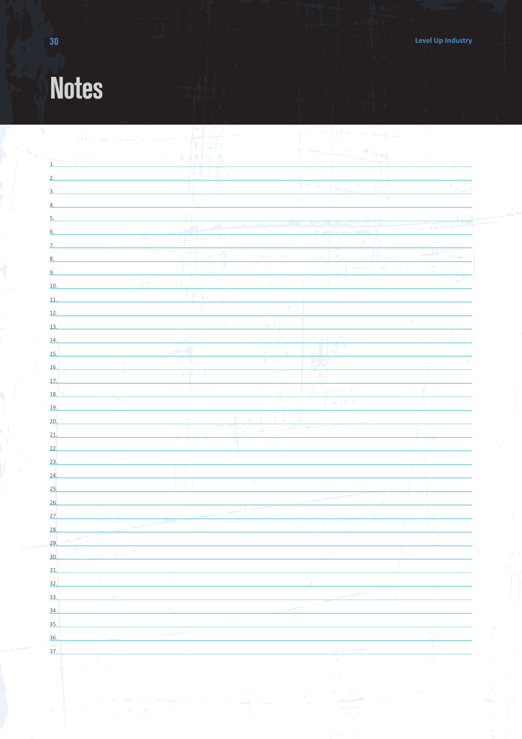# **Notes**

| $\sim 1$<br>$2.5.6 - 1.$<br>$\chi^{\rm 1.5-1.5}$<br>T. | 西<br>¥<br>$\overline{\mathcal{L}}$<br>ð.<br>þ.<br>dri r<br>$\mathfrak{g}$<br>Ŧ<br>$\mathfrak{t}_{1\perp}$<br>ا ک<br>$\overline{\mathbb{Q}}$<br>$E \rightarrow$ |                                                 | D.<br>$\top$                       | $U \circ \zeta$<br>$\mathcal{P}$<br>$\mathbb{E}$<br>т.<br>-1<br>$\left  \cdot \right $ |               | T.<br>$\sim$<br>$\sim$              |
|--------------------------------------------------------|----------------------------------------------------------------------------------------------------------------------------------------------------------------|-------------------------------------------------|------------------------------------|----------------------------------------------------------------------------------------|---------------|-------------------------------------|
|                                                        |                                                                                                                                                                |                                                 |                                    |                                                                                        |               |                                     |
|                                                        |                                                                                                                                                                |                                                 |                                    |                                                                                        |               |                                     |
|                                                        |                                                                                                                                                                |                                                 |                                    |                                                                                        |               |                                     |
|                                                        |                                                                                                                                                                |                                                 |                                    |                                                                                        |               |                                     |
|                                                        |                                                                                                                                                                |                                                 |                                    |                                                                                        |               |                                     |
|                                                        |                                                                                                                                                                |                                                 |                                    |                                                                                        |               |                                     |
|                                                        |                                                                                                                                                                |                                                 |                                    |                                                                                        |               |                                     |
|                                                        |                                                                                                                                                                |                                                 | m.                                 |                                                                                        |               | $\rightarrow$                       |
|                                                        |                                                                                                                                                                | $\sqrt{2}$                                      | $\mathcal{A}$                      |                                                                                        |               |                                     |
|                                                        | 커<br>$\mathcal{L}$                                                                                                                                             | $\tilde{\mathcal{A}}$<br>$\mu\Lambda$<br>$\sim$ |                                    |                                                                                        |               |                                     |
|                                                        | $\mathbf{p} \in \mathcal{F} \setminus \mathcal{F}$                                                                                                             | IJ<br>J.                                        |                                    | ÷<br>$\mathcal{A}_{\mathcal{A}}$<br>$\mathbf{L}$                                       | $\sim$ $\sim$ | $\hat{\mathsf{T}}$<br>$\mathcal{L}$ |
| $\mathcal{L}$                                          | U.                                                                                                                                                             | $\mathfrak{h}^+$                                | $\sim$                             |                                                                                        |               |                                     |
|                                                        | 压轻度                                                                                                                                                            | $\mathcal{A}$                                   |                                    | $\mathcal{L}$<br>$\langle \cdots \rangle^{\dagger}$                                    |               |                                     |
| $\mathbf{L}$                                           |                                                                                                                                                                | $\mathcal{C}=\mathcal{C}$<br>Y.<br>٠            | $\sim$                             |                                                                                        | $\chi$        |                                     |
| $\sim$<br>$13.$ <sup>1</sup>                           | $\mathfrak{f}=\mathfrak{g}$                                                                                                                                    | $\overline{u}$<br>$\pm$ 1<br>ù.                 |                                    |                                                                                        | $\alpha$      | $\mathcal{A}$                       |
|                                                        | $\theta$                                                                                                                                                       | $\mathcal{L}$<br>$\overline{\nabla}$            |                                    | $r_{\rm in}$                                                                           |               |                                     |
|                                                        | ᅬ                                                                                                                                                              | $\mathbb T$                                     |                                    | 帯 一を                                                                                   |               |                                     |
|                                                        | $\P$<br>U,                                                                                                                                                     | Ŧ<br>T.                                         |                                    | $\mathbf{H}$ $\mathbf{Z}$ $\cdot$ $\mathbf{I}$ $\mathbf{Z}$                            |               | $\Phi_{\rm{eff}}$<br>ò.             |
|                                                        | 计符<br>U.<br>$\sim 1$ .                                                                                                                                         |                                                 | $\mathcal{F}^{\prime}$<br>4.5      |                                                                                        |               |                                     |
|                                                        |                                                                                                                                                                | $\sim$                                          | j.                                 |                                                                                        |               |                                     |
| ٠.                                                     |                                                                                                                                                                |                                                 |                                    | $\overline{a}$                                                                         |               |                                     |
|                                                        |                                                                                                                                                                | $\neg$<br>÷<br>$\rightarrow$<br>. L             | í.<br>-11                          |                                                                                        |               |                                     |
|                                                        | $\rightarrow$<br>$\gamma$                                                                                                                                      | $\pi$<br>$\bar{\phantom{a}}$<br>÷.              |                                    |                                                                                        |               | т.                                  |
|                                                        |                                                                                                                                                                |                                                 |                                    |                                                                                        |               |                                     |
| $\mathcal{P}^{\mathcal{C}}$<br>$\tau$                  |                                                                                                                                                                |                                                 |                                    |                                                                                        |               |                                     |
|                                                        |                                                                                                                                                                |                                                 |                                    |                                                                                        |               |                                     |
|                                                        |                                                                                                                                                                |                                                 |                                    | $\sim 10$                                                                              |               |                                     |
|                                                        |                                                                                                                                                                |                                                 |                                    |                                                                                        |               |                                     |
| $\sigma_{\rm{max}}=16$<br>$\sigma$ - $\sigma$          | $\mathcal{L} = \mathcal{L} \times \mathcal{L}$                                                                                                                 | ÷                                               |                                    |                                                                                        |               |                                     |
|                                                        | <b>Contract</b>                                                                                                                                                |                                                 | $\vdash$ $\vdash$<br>$\mathcal{T}$ | $\frac{M}{2}$ ) $\frac{1}{2}$                                                          |               | ×                                   |
| $\rightarrow$ $\overline{1}$                           | $\mathbf{J}$                                                                                                                                                   | $\mathcal{D}$                                   | 4.                                 | $\mathbf{r}$                                                                           |               |                                     |
| <b>COL</b><br>-<br>A<br>$\sim$                         |                                                                                                                                                                |                                                 |                                    |                                                                                        |               |                                     |
|                                                        |                                                                                                                                                                |                                                 |                                    |                                                                                        |               |                                     |
|                                                        | $\alpha$                                                                                                                                                       |                                                 | $\mathcal{H}_{\mathcal{M}}$        |                                                                                        |               |                                     |
|                                                        |                                                                                                                                                                |                                                 |                                    |                                                                                        |               |                                     |
|                                                        | $\mathbb{Q}_\ell$                                                                                                                                              |                                                 | ×                                  |                                                                                        |               |                                     |
|                                                        |                                                                                                                                                                |                                                 |                                    |                                                                                        |               |                                     |
|                                                        |                                                                                                                                                                |                                                 |                                    |                                                                                        |               |                                     |
| 37.                                                    |                                                                                                                                                                |                                                 |                                    |                                                                                        |               | Г                                   |
| A<br>$\mathbf{p}$                                      |                                                                                                                                                                |                                                 |                                    | $\mathcal{P}$                                                                          |               | k.                                  |
|                                                        |                                                                                                                                                                |                                                 |                                    | $\mathbf{p}$                                                                           |               |                                     |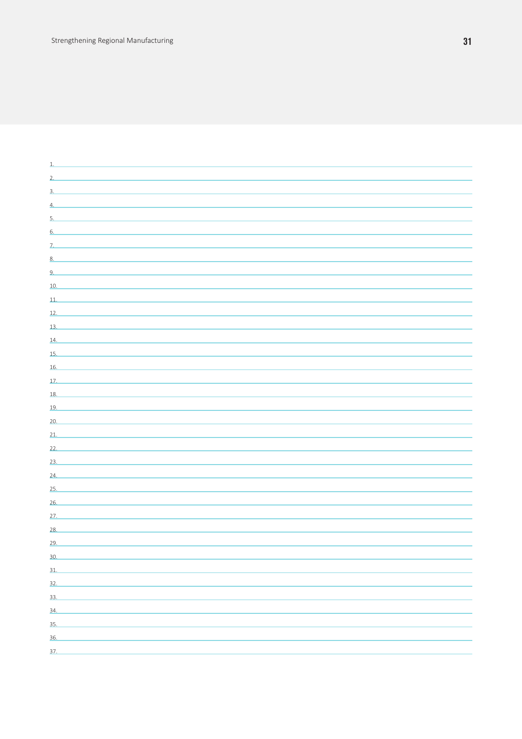| 1.                                                                                               |  |
|--------------------------------------------------------------------------------------------------|--|
| 2.                                                                                               |  |
| $3-$                                                                                             |  |
| 4.                                                                                               |  |
| 5.                                                                                               |  |
| 6.                                                                                               |  |
| the control of the control of the control of the control of the control of the control of<br>Z.  |  |
| 8.<br>the control of the control of the control of the control of the control of the control of  |  |
| 9.                                                                                               |  |
| 10.<br>the control of the control of the control of the control of the control of the control of |  |
| 11.                                                                                              |  |
| 12.                                                                                              |  |
| 13.                                                                                              |  |
| 14.<br>the control of the control of the control of the control of the control of the control of |  |
| 15.<br>the control of the control of the control of the control of the control of the control of |  |
| 16.                                                                                              |  |
| 17.                                                                                              |  |
| 18.                                                                                              |  |
| 19.                                                                                              |  |
| 20.                                                                                              |  |
| 21.<br>the control of the control of the control of the control of the control of the control of |  |
| 22.<br>the control of the control of the control of the control of the control of the control of |  |
| 23.                                                                                              |  |
| 24.<br>the control of the control of the control of the control of the control of the control of |  |
| 25.                                                                                              |  |
| <u> 1989 - Johann Stein, mars an deus an deus Amerikaansk kommunister (</u><br>26.               |  |
| 27.                                                                                              |  |
| 28.                                                                                              |  |
| 29.                                                                                              |  |
| 30.                                                                                              |  |
| 31.                                                                                              |  |
| 32.                                                                                              |  |
| 33.                                                                                              |  |
| 34.                                                                                              |  |
| 35.                                                                                              |  |
| 36.                                                                                              |  |
| 37.                                                                                              |  |